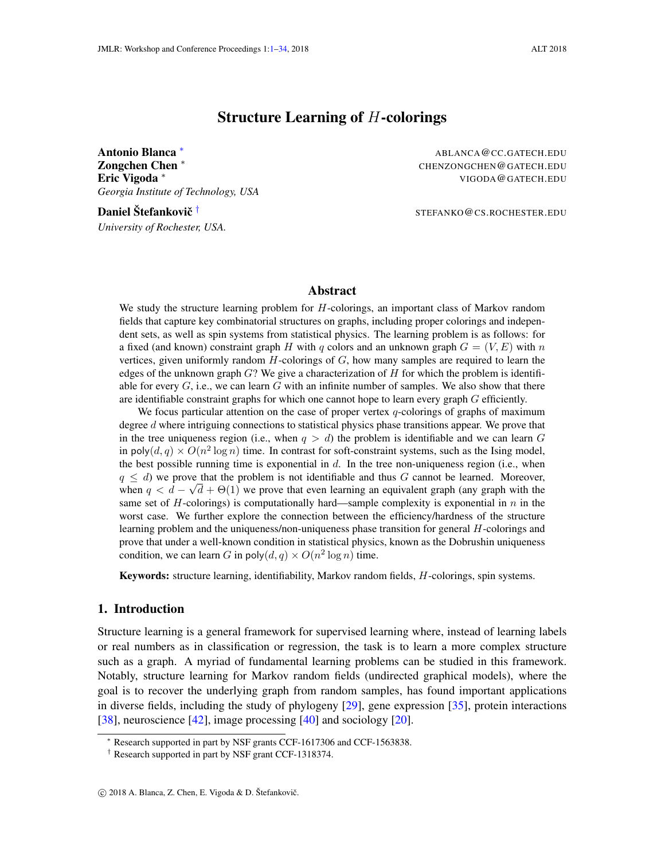# Structure Learning of H-colorings

<span id="page-0-0"></span>**Antonio Blanca \*** ABLANCA@CC.GATECH.EDU **Zongchen Chen ∗** CHENZONGCHEN @ GATECH.EDU Eric Vigoda <sup>∗</sup> VIGODA@GATECH.EDU *Georgia Institute of Technology, USA*

Daniel Štefankovič <sup>†</sup> *University of Rochester, USA.*

STEFANKO@CS.ROCHESTER.EDU

### Abstract

We study the structure learning problem for H-colorings, an important class of Markov random fields that capture key combinatorial structures on graphs, including proper colorings and independent sets, as well as spin systems from statistical physics. The learning problem is as follows: for a fixed (and known) constraint graph H with q colors and an unknown graph  $G = (V, E)$  with n vertices, given uniformly random  $H$ -colorings of  $G$ , how many samples are required to learn the edges of the unknown graph  $G$ ? We give a characterization of  $H$  for which the problem is identifiable for every  $G$ , i.e., we can learn  $G$  with an infinite number of samples. We also show that there are identifiable constraint graphs for which one cannot hope to learn every graph  $G$  efficiently.

We focus particular attention on the case of proper vertex  $q$ -colorings of graphs of maximum degree d where intriguing connections to statistical physics phase transitions appear. We prove that in the tree uniqueness region (i.e., when  $q > d$ ) the problem is identifiable and we can learn G in poly $(d, q) \times O(n^2 \log n)$  time. In contrast for soft-constraint systems, such as the Ising model, the best possible running time is exponential in  $d$ . In the tree non-uniqueness region (i.e., when  $q \leq d$ ) we prove that the problem is not identifiable and thus G cannot be learned. Moreover, when  $q < d - \sqrt{d} + \Theta(1)$  we prove that even learning an equivalent graph (any graph with the same set of H-colorings) is computationally hard—sample complexity is exponential in  $n$  in the worst case. We further explore the connection between the efficiency/hardness of the structure learning problem and the uniqueness/non-uniqueness phase transition for general H-colorings and prove that under a well-known condition in statistical physics, known as the Dobrushin uniqueness condition, we can learn G in poly $(d, q) \times O(n^2 \log n)$  time.

Keywords: structure learning, identifiability, Markov random fields, H-colorings, spin systems.

# 1. Introduction

Structure learning is a general framework for supervised learning where, instead of learning labels or real numbers as in classification or regression, the task is to learn a more complex structure such as a graph. A myriad of fundamental learning problems can be studied in this framework. Notably, structure learning for Markov random fields (undirected graphical models), where the goal is to recover the underlying graph from random samples, has found important applications in diverse fields, including the study of phylogeny [\[29\]](#page-14-0), gene expression [\[35\]](#page-14-1), protein interactions [\[38\]](#page-14-2), neuroscience [\[42\]](#page-15-0), image processing [\[40\]](#page-14-3) and sociology [\[20\]](#page-13-0).

Research supported in part by NSF grants CCF-1617306 and CCF-1563838.

<sup>†</sup> Research supported in part by NSF grant CCF-1318374.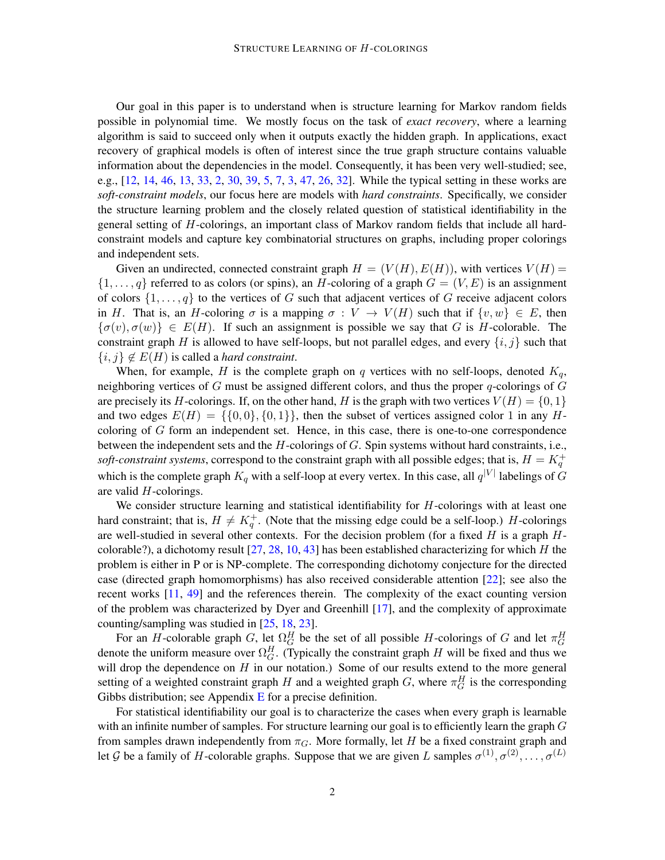Our goal in this paper is to understand when is structure learning for Markov random fields possible in polynomial time. We mostly focus on the task of *exact recovery*, where a learning algorithm is said to succeed only when it outputs exactly the hidden graph. In applications, exact recovery of graphical models is often of interest since the true graph structure contains valuable information about the dependencies in the model. Consequently, it has been very well-studied; see, e.g., [\[12,](#page-12-0) [14,](#page-12-1) [46,](#page-15-1) [13,](#page-12-2) [33,](#page-14-4) [2,](#page-12-3) [30,](#page-14-5) [39,](#page-14-6) [5,](#page-12-4) [7,](#page-12-5) [3,](#page-12-6) [47,](#page-15-2) [26,](#page-13-1) [32\]](#page-14-7). While the typical setting in these works are *soft-constraint models*, our focus here are models with *hard constraints*. Specifically, we consider the structure learning problem and the closely related question of statistical identifiability in the general setting of H-colorings, an important class of Markov random fields that include all hardconstraint models and capture key combinatorial structures on graphs, including proper colorings and independent sets.

Given an undirected, connected constraint graph  $H = (V(H), E(H))$ , with vertices  $V(H)$  =  $\{1,\ldots,q\}$  referred to as colors (or spins), an H-coloring of a graph  $G = (V, E)$  is an assignment of colors  $\{1, \ldots, q\}$  to the vertices of G such that adjacent vertices of G receive adjacent colors in H. That is, an H-coloring  $\sigma$  is a mapping  $\sigma: V \to V(H)$  such that if  $\{v, w\} \in E$ , then  $\{\sigma(v), \sigma(w)\}\in E(H)$ . If such an assignment is possible we say that G is H-colorable. The constraint graph H is allowed to have self-loops, but not parallel edges, and every  $\{i, j\}$  such that  $\{i, j\} \notin E(H)$  is called a *hard constraint*.

When, for example, H is the complete graph on q vertices with no self-loops, denoted  $K_q$ , neighboring vertices of G must be assigned different colors, and thus the proper q-colorings of  $G$ are precisely its H-colorings. If, on the other hand, H is the graph with two vertices  $V(H) = \{0, 1\}$ and two edges  $E(H) = \{ \{0, 0\}, \{0, 1\} \}$ , then the subset of vertices assigned color 1 in any Hcoloring of  $G$  form an independent set. Hence, in this case, there is one-to-one correspondence between the independent sets and the  $H$ -colorings of  $G$ . Spin systems without hard constraints, i.e., *soft-constraint systems*, correspond to the constraint graph with all possible edges; that is,  $H = K_q^+$ which is the complete graph  $K_q$  with a self-loop at every vertex. In this case, all  $q^{|V|}$  labelings of  $G$ are valid H-colorings.

We consider structure learning and statistical identifiability for  $H$ -colorings with at least one hard constraint; that is,  $H \neq K_q^+$ . (Note that the missing edge could be a self-loop.) H-colorings are well-studied in several other contexts. For the decision problem (for a fixed  $H$  is a graph  $H$ colorable?), a dichotomy result  $[27, 28, 10, 43]$  $[27, 28, 10, 43]$  $[27, 28, 10, 43]$  $[27, 28, 10, 43]$  $[27, 28, 10, 43]$  $[27, 28, 10, 43]$  $[27, 28, 10, 43]$  has been established characterizing for which H the problem is either in P or is NP-complete. The corresponding dichotomy conjecture for the directed case (directed graph homomorphisms) has also received considerable attention [\[22\]](#page-13-4); see also the recent works [\[11,](#page-12-8) [49\]](#page-15-4) and the references therein. The complexity of the exact counting version of the problem was characterized by Dyer and Greenhill [\[17\]](#page-13-5), and the complexity of approximate counting/sampling was studied in [\[25,](#page-13-6) [18,](#page-13-7) [23\]](#page-13-8).

For an H-colorable graph G, let  $\Omega_G^H$  be the set of all possible H-colorings of G and let  $\pi_G^H$ denote the uniform measure over  $\Omega_G^H$ . (Typically the constraint graph H will be fixed and thus we will drop the dependence on  $H$  in our notation.) Some of our results extend to the more general setting of a weighted constraint graph H and a weighted graph G, where  $\pi_G^H$  is the corresponding Gibbs distribution; see Appendix  $E$  for a precise definition.

For statistical identifiability our goal is to characterize the cases when every graph is learnable with an infinite number of samples. For structure learning our goal is to efficiently learn the graph  $G$ from samples drawn independently from  $\pi_G$ . More formally, let H be a fixed constraint graph and let G be a family of H-colorable graphs. Suppose that we are given L samples  $\sigma^{(1)}, \sigma^{(2)}, \ldots, \sigma^{(L)}$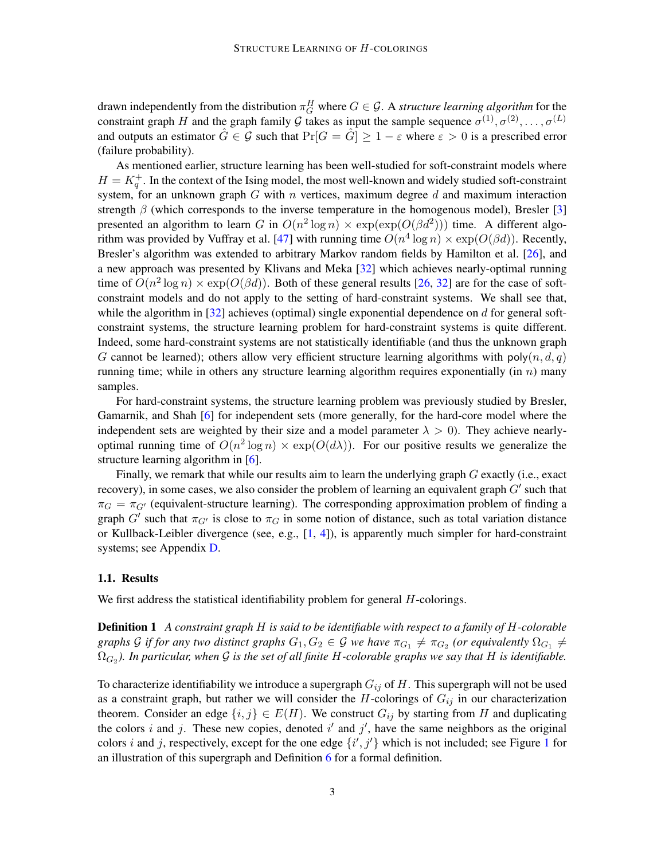drawn independently from the distribution  $\pi_G^H$  where  $G \in \mathcal{G}$ . A *structure learning algorithm* for the constraint graph H and the graph family G takes as input the sample sequence  $\sigma^{(1)}, \sigma^{(2)}, \ldots, \sigma^{(L)}$ and outputs an estimator  $\hat{G} \in \mathcal{G}$  such that  $\Pr[G = \hat{G}] \ge 1 - \varepsilon$  where  $\varepsilon > 0$  is a prescribed error (failure probability).

As mentioned earlier, structure learning has been well-studied for soft-constraint models where  $H = K_q^+$ . In the context of the Ising model, the most well-known and widely studied soft-constraint system, for an unknown graph  $G$  with  $n$  vertices, maximum degree  $d$  and maximum interaction strength  $\beta$  (which corresponds to the inverse temperature in the homogenous model), Bresler [\[3\]](#page-12-6) presented an algorithm to learn G in  $O(n^2 \log n) \times \exp(\exp(O(\beta d^2)))$  time. A different algo-rithm was provided by Vuffray et al. [\[47\]](#page-15-2) with running time  $O(n^4 \log n) \times \exp(O(\beta d))$ . Recently, Bresler's algorithm was extended to arbitrary Markov random fields by Hamilton et al. [\[26\]](#page-13-1), and a new approach was presented by Klivans and Meka [\[32\]](#page-14-7) which achieves nearly-optimal running time of  $O(n^2 \log n) \times \exp(O(\beta d))$ . Both of these general results [\[26,](#page-13-1) [32\]](#page-14-7) are for the case of softconstraint models and do not apply to the setting of hard-constraint systems. We shall see that, while the algorithm in  $[32]$  achieves (optimal) single exponential dependence on d for general softconstraint systems, the structure learning problem for hard-constraint systems is quite different. Indeed, some hard-constraint systems are not statistically identifiable (and thus the unknown graph G cannot be learned); others allow very efficient structure learning algorithms with  $poly(n, d, q)$ running time; while in others any structure learning algorithm requires exponentially (in  $n$ ) many samples.

For hard-constraint systems, the structure learning problem was previously studied by Bresler, Gamarnik, and Shah [\[6\]](#page-12-9) for independent sets (more generally, for the hard-core model where the independent sets are weighted by their size and a model parameter  $\lambda > 0$ ). They achieve nearlyoptimal running time of  $O(n^2 \log n) \times \exp(O(d\lambda))$ . For our positive results we generalize the structure learning algorithm in [\[6\]](#page-12-9).

Finally, we remark that while our results aim to learn the underlying graph G exactly (i.e., exact recovery), in some cases, we also consider the problem of learning an equivalent graph  $G'$  such that  $\pi_G = \pi_{G'}$  (equivalent-structure learning). The corresponding approximation problem of finding a graph G' such that  $\pi_{G'}$  is close to  $\pi_G$  in some notion of distance, such as total variation distance or Kullback-Leibler divergence (see, e.g., [\[1,](#page-12-10) [4\]](#page-12-11)), is apparently much simpler for hard-constraint systems; see Appendix [D.](#page-26-0)

### 1.1. Results

<span id="page-2-0"></span>We first address the statistical identifiability problem for general *H*-colorings.

Definition 1 *A constraint graph* H *is said to be identifiable with respect to a family of* H*-colorable* graphs G if for any two distinct graphs  $G_1, G_2 \in \mathcal{G}$  we have  $\pi_{G_1} \neq \pi_{G_2}$  (or equivalently  $\Omega_{G_1} \neq$  $\Omega_{G_2}$ ). In particular, when  ${\cal G}$  is the set of all finite  $H$ -colorable graphs we say that  $H$  is identifiable.

To characterize identifiability we introduce a supergraph  $G_{ij}$  of H. This supergraph will not be used as a constraint graph, but rather we will consider the H-colorings of  $G_{ij}$  in our characterization theorem. Consider an edge  $\{i, j\} \in E(H)$ . We construct  $G_{ij}$  by starting from H and duplicating the colors i and j. These new copies, denoted i' and j', have the same neighbors as the original colors i and j, respectively, except for the one edge  $\{i', j'\}$  which is not included; see Figure [1](#page-5-0) for an illustration of this supergraph and Definition [6](#page-5-1) for a formal definition.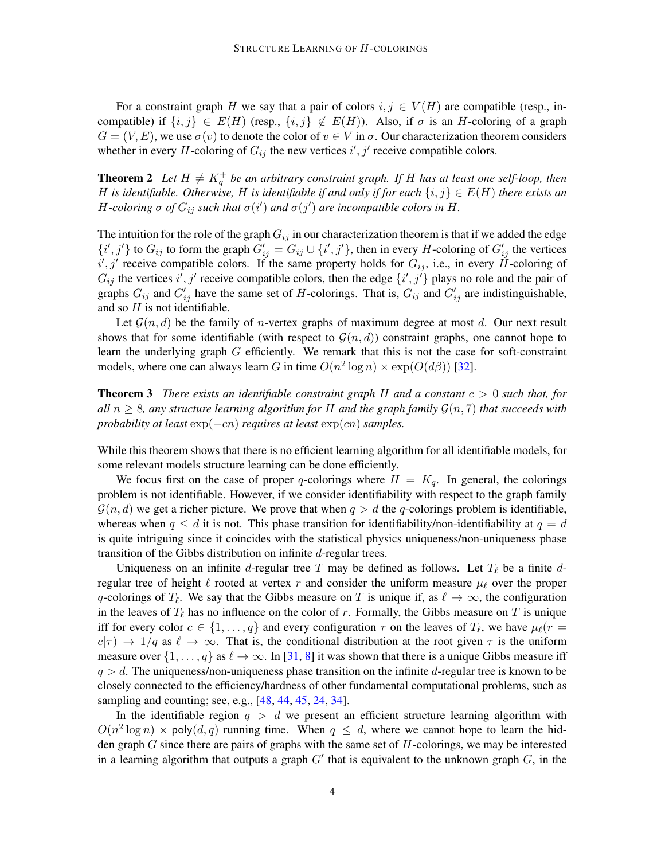For a constraint graph H we say that a pair of colors  $i, j \in V(H)$  are compatible (resp., incompatible) if  $\{i, j\} \in E(H)$  (resp.,  $\{i, j\} \notin E(H)$ ). Also, if  $\sigma$  is an H-coloring of a graph  $G = (V, E)$ , we use  $\sigma(v)$  to denote the color of  $v \in V$  in  $\sigma$ . Our characterization theorem considers whether in every H-coloring of  $G_{ij}$  the new vertices  $i', j'$  receive compatible colors.

<span id="page-3-0"></span>**Theorem 2** Let  $H \neq K_q^+$  be an arbitrary constraint graph. If H has at least one self-loop, then H is identifiable. Otherwise, H is identifiable if and only if for each  $\{i, j\} \in E(H)$  there exists an H-coloring  $\sigma$  of  $G_{ij}$  such that  $\sigma(i')$  and  $\sigma(j')$  are incompatible colors in H.

The intuition for the role of the graph  $G_{ij}$  in our characterization theorem is that if we added the edge  $\{i',j'\}$  to  $G_{ij}$  to form the graph  $G'_{ij} = G_{ij} \cup \{i',j'\}$ , then in every H-coloring of  $G'_{ij}$  the vertices  $i', j'$  receive compatible colors. If the same property holds for  $G_{ij}$ , i.e., in every H-coloring of  $G_{ij}$  the vertices i', j' receive compatible colors, then the edge  $\{i',j'\}$  plays no role and the pair of graphs  $G_{ij}$  and  $G'_{ij}$  have the same set of H-colorings. That is,  $G_{ij}$  and  $G'_{ij}$  are indistinguishable, and so  $H$  is not identifiable.

Let  $\mathcal{G}(n, d)$  be the family of *n*-vertex graphs of maximum degree at most d. Our next result shows that for some identifiable (with respect to  $\mathcal{G}(n, d)$ ) constraint graphs, one cannot hope to learn the underlying graph G efficiently. We remark that this is not the case for soft-constraint models, where one can always learn G in time  $O(n^2 \log n) \times \exp(O(d\beta))$  [\[32\]](#page-14-7).

<span id="page-3-1"></span>Theorem 3 *There exists an identifiable constraint graph* H *and a constant* c > 0 *such that, for all*  $n \geq 8$ *, any structure learning algorithm for* H *and the graph family*  $\mathcal{G}(n, 7)$  *that succeeds with probability at least*  $exp(-cn)$  *requires at least*  $exp(cn)$  *samples.* 

While this theorem shows that there is no efficient learning algorithm for all identifiable models, for some relevant models structure learning can be done efficiently.

We focus first on the case of proper q-colorings where  $H = K<sub>q</sub>$ . In general, the colorings problem is not identifiable. However, if we consider identifiability with respect to the graph family  $\mathcal{G}(n, d)$  we get a richer picture. We prove that when  $q > d$  the q-colorings problem is identifiable, whereas when  $q \leq d$  it is not. This phase transition for identifiability/non-identifiability at  $q = d$ is quite intriguing since it coincides with the statistical physics uniqueness/non-uniqueness phase transition of the Gibbs distribution on infinite d-regular trees.

Uniqueness on an infinite d-regular tree T may be defined as follows. Let  $T_\ell$  be a finite dregular tree of height  $\ell$  rooted at vertex r and consider the uniform measure  $\mu_{\ell}$  over the proper q-colorings of  $T_\ell$ . We say that the Gibbs measure on T is unique if, as  $\ell \to \infty$ , the configuration in the leaves of  $T_\ell$  has no influence on the color of r. Formally, the Gibbs measure on T is unique iff for every color  $c \in \{1, \ldots, q\}$  and every configuration  $\tau$  on the leaves of  $T_{\ell}$ , we have  $\mu_{\ell}(r =$  $c(\tau) \to 1/q$  as  $\ell \to \infty$ . That is, the conditional distribution at the root given  $\tau$  is the uniform measure over  $\{1, \ldots, q\}$  as  $\ell \to \infty$ . In [\[31,](#page-14-8) [8\]](#page-12-12) it was shown that there is a unique Gibbs measure iff  $q > d$ . The uniqueness/non-uniqueness phase transition on the infinite d-regular tree is known to be closely connected to the efficiency/hardness of other fundamental computational problems, such as sampling and counting; see, e.g., [\[48,](#page-15-5) [44,](#page-15-6) [45,](#page-15-7) [24,](#page-13-9) [34\]](#page-14-9).

In the identifiable region  $q > d$  we present an efficient structure learning algorithm with  $O(n^2 \log n) \times \text{poly}(d, q)$  running time. When  $q \leq d$ , where we cannot hope to learn the hidden graph  $G$  since there are pairs of graphs with the same set of  $H$ -colorings, we may be interested in a learning algorithm that outputs a graph  $G'$  that is equivalent to the unknown graph  $G$ , in the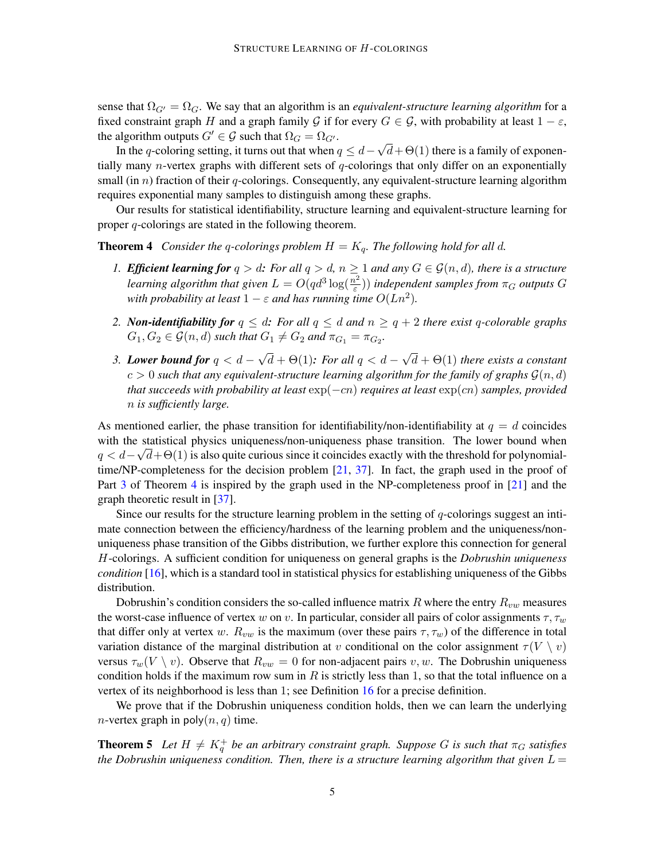sense that  $\Omega_{G'} = \Omega_G$ . We say that an algorithm is an *equivalent-structure learning algorithm* for a fixed constraint graph H and a graph family G if for every  $G \in \mathcal{G}$ , with probability at least  $1 - \varepsilon$ , the algorithm outputs  $G' \in \mathcal{G}$  such that  $\Omega_G = \Omega_{G'}$ . √

In the q-coloring setting, it turns out that when  $q \leq d$  $d+\Theta(1)$  there is a family of exponentially many *n*-vertex graphs with different sets of  $q$ -colorings that only differ on an exponentially small (in  $n$ ) fraction of their q-colorings. Consequently, any equivalent-structure learning algorithm requires exponential many samples to distinguish among these graphs.

Our results for statistical identifiability, structure learning and equivalent-structure learning for proper q-colorings are stated in the following theorem.

<span id="page-4-3"></span>**Theorem 4** *Consider the q-colorings problem*  $H = K_q$ *. The following hold for all d.* 

- <span id="page-4-1"></span>*1. Efficient learning for*  $q > d$ : *For all*  $q > d$ *,*  $n \ge 1$  *and any*  $G \in \mathcal{G}(n, d)$ *, there is a structure learning algorithm that given*  $L = O(qd^3 \log(\frac{n^2}{\epsilon}))$  $(\frac{n^2}{\varepsilon})$ ) *independent samples from*  $\pi_G$  *outputs* G *with probability at least*  $1 - \varepsilon$  *and has running time*  $O(Ln^2)$ *.*
- <span id="page-4-4"></span>*2. Non-identifiability for*  $q \leq d$ : *For all*  $q \leq d$  *and*  $n \geq q+2$  *there exist* q-colorable graphs  $G_1, G_2 \in \mathcal{G}(n,d)$  such that  $G_1 \neq G_2$  and  $\pi_{G_1} = \pi_{G_2}$ .
- <span id="page-4-0"></span>*3. Lower bound for* q < d − √  $d + \Theta(1)$ : For all  $q < d$  – √ d + Θ(1) *there exists a constant*  $c > 0$  such that any equivalent-structure learning algorithm for the family of graphs  $\mathcal{G}(n, d)$ *that succeeds with probability at least*  $exp(-cn)$  *requires at least*  $exp(cn)$  *samples, provided* n *is sufficiently large.*

As mentioned earlier, the phase transition for identifiability/non-identifiability at  $q = d$  coincides with the statistical physics uniqueness/non-uniqueness phase transition. The lower bound when  $q < d - \sqrt{d} + \Theta(1)$  is also quite curious since it coincides exactly with the threshold for polynomialtime/NP-completeness for the decision problem [\[21,](#page-13-10) [37\]](#page-14-10). In fact, the graph used in the proof of Part [3](#page-4-0) of Theorem [4](#page-4-1) is inspired by the graph used in the NP-completeness proof in [\[21\]](#page-13-10) and the graph theoretic result in [\[37\]](#page-14-10).

Since our results for the structure learning problem in the setting of q-colorings suggest an intimate connection between the efficiency/hardness of the learning problem and the uniqueness/nonuniqueness phase transition of the Gibbs distribution, we further explore this connection for general H-colorings. A sufficient condition for uniqueness on general graphs is the *Dobrushin uniqueness condition* [\[16\]](#page-13-11), which is a standard tool in statistical physics for establishing uniqueness of the Gibbs distribution.

Dobrushin's condition considers the so-called influence matrix R where the entry  $R_{vw}$  measures the worst-case influence of vertex w on v. In particular, consider all pairs of color assignments  $\tau, \tau_w$ that differ only at vertex w.  $R_{vw}$  is the maximum (over these pairs  $\tau, \tau_w$ ) of the difference in total variation distance of the marginal distribution at v conditional on the color assignment  $\tau(V \setminus v)$ versus  $\tau_w(V \setminus v)$ . Observe that  $R_{vw} = 0$  for non-adjacent pairs v, w. The Dobrushin uniqueness condition holds if the maximum row sum in R is strictly less than 1, so that the total influence on a vertex of its neighborhood is less than 1; see Definition [16](#page-11-0) for a precise definition.

We prove that if the Dobrushin uniqueness condition holds, then we can learn the underlying *n*-vertex graph in poly $(n, q)$  time.

<span id="page-4-2"></span>**Theorem 5** Let  $H \neq K_q^+$  be an arbitrary constraint graph. Suppose G is such that  $\pi_G$  satisfies *the Dobrushin uniqueness condition. Then, there is a structure learning algorithm that given*  $L =$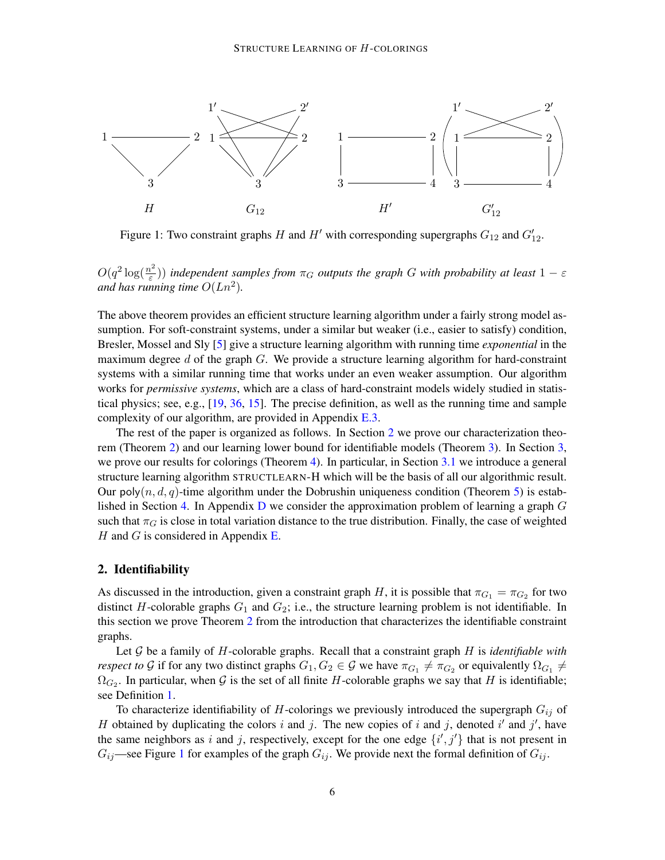<span id="page-5-0"></span>

Figure 1: Two constraint graphs H and H' with corresponding supergraphs  $G_{12}$  and  $G'_{12}$ .

 $O(q^2 \log(\frac{n^2}{\varepsilon}))$  $(\frac{e^{2}}{\varepsilon})$ ) independent samples from  $\pi_{G}$  outputs the graph G with probability at least  $1 - \varepsilon$ and has running time  $O(Ln^2)$ .

The above theorem provides an efficient structure learning algorithm under a fairly strong model assumption. For soft-constraint systems, under a similar but weaker (i.e., easier to satisfy) condition, Bresler, Mossel and Sly [\[5\]](#page-12-4) give a structure learning algorithm with running time *exponential* in the maximum degree d of the graph  $G$ . We provide a structure learning algorithm for hard-constraint systems with a similar running time that works under an even weaker assumption. Our algorithm works for *permissive systems*, which are a class of hard-constraint models widely studied in statistical physics; see, e.g., [\[19,](#page-13-12) [36,](#page-14-11) [15\]](#page-13-13). The precise definition, as well as the running time and sample complexity of our algorithm, are provided in Appendix [E.3.](#page-28-0)

The rest of the paper is organized as follows. In Section [2](#page-5-2) we prove our characterization theorem (Theorem [2\)](#page-3-0) and our learning lower bound for identifiable models (Theorem [3\)](#page-3-1). In Section [3,](#page-9-0) we prove our results for colorings (Theorem [4\)](#page-4-1). In particular, in Section [3.1](#page-9-1) we introduce a general structure learning algorithm STRUCTLEARN-H which will be the basis of all our algorithmic result. Our poly $(n, d, q)$ -time algorithm under the Dobrushin uniqueness condition (Theorem [5\)](#page-4-2) is estab-lished in Section [4.](#page-11-1) In Appendix [D](#page-26-0) we consider the approximation problem of learning a graph  $G$ such that  $\pi_G$  is close in total variation distance to the true distribution. Finally, the case of weighted  $H$  and  $G$  is considered in Appendix [E.](#page-27-0)

# <span id="page-5-2"></span>2. Identifiability

As discussed in the introduction, given a constraint graph H, it is possible that  $\pi_{G_1} = \pi_{G_2}$  for two distinct H-colorable graphs  $G_1$  and  $G_2$ ; i.e., the structure learning problem is not identifiable. In this section we prove Theorem [2](#page-3-0) from the introduction that characterizes the identifiable constraint graphs.

Let G be a family of H-colorable graphs. Recall that a constraint graph H is *identifiable with respect to* G if for any two distinct graphs  $G_1, G_2 \in \mathcal{G}$  we have  $\pi_{G_1} \neq \pi_{G_2}$  or equivalently  $\Omega_{G_1} \neq$  $\Omega_{G_2}$ . In particular, when G is the set of all finite H-colorable graphs we say that H is identifiable; see Definition [1.](#page-2-0)

<span id="page-5-1"></span>To characterize identifiability of H-colorings we previously introduced the supergraph  $G_{ij}$  of H obtained by duplicating the colors i and j. The new copies of i and j, denoted i' and j', have the same neighbors as i and j, respectively, except for the one edge  $\{i',j'\}$  that is not present in  $G_{ij}$ —see Figure [1](#page-5-0) for examples of the graph  $G_{ij}$ . We provide next the formal definition of  $G_{ij}$ .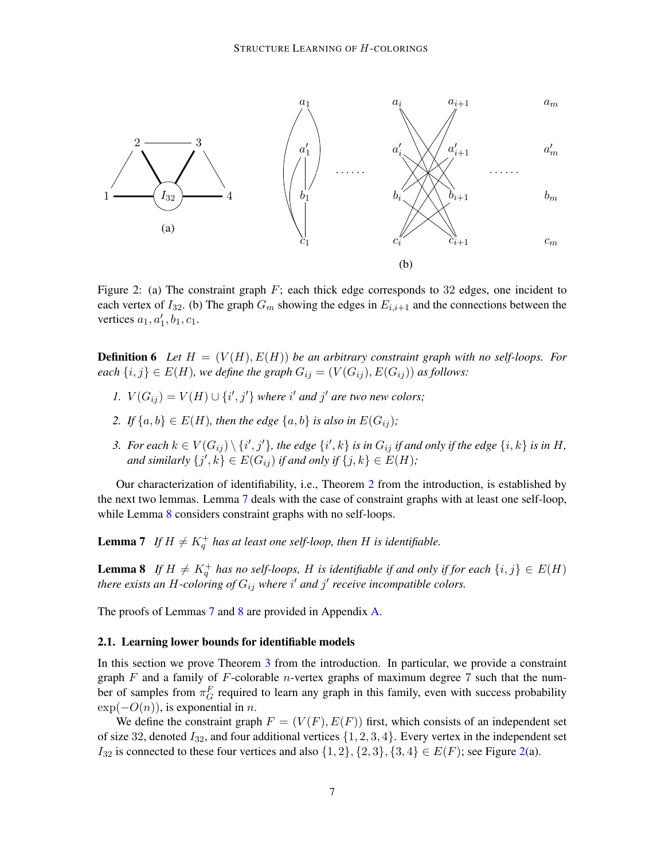<span id="page-6-2"></span>

Figure 2: (a) The constraint graph  $F$ ; each thick edge corresponds to 32 edges, one incident to each vertex of  $I_{32}$ . (b) The graph  $G_m$  showing the edges in  $E_{i,i+1}$  and the connections between the vertices  $a_1, a'_1, b_1, c_1$ .

**Definition 6** Let  $H = (V(H), E(H))$  be an arbitrary constraint graph with no self-loops. For *each*  $\{i, j\} \in E(H)$ *, we define the graph*  $G_{ij} = (V(G_{ij}), E(G_{ij}))$  *as follows:* 

- *1.*  $V(G_{ij}) = V(H) \cup \{i', j'\}$  *where*  $i'$  *and*  $j'$  *are two new colors;*
- 2. *If*  $\{a, b\} \in E(H)$ *, then the edge*  $\{a, b\}$  *is also in*  $E(G_{ij})$ *;*
- 3. For each  $k \in V(G_{ij}) \setminus \{i',j'\}$ , the edge  $\{i',k\}$  is in  $G_{ij}$  if and only if the edge  $\{i,k\}$  is in H, and similarly  $\{j',k\} \in E(G_{ij})$  if and only if  $\{j,k\} \in E(H)$ ;

Our characterization of identifiability, i.e., Theorem [2](#page-3-0) from the introduction, is established by the next two lemmas. Lemma [7](#page-6-0) deals with the case of constraint graphs with at least one self-loop, while Lemma [8](#page-6-1) considers constraint graphs with no self-loops.

<span id="page-6-0"></span>**Lemma 7** If  $H \neq K_q^+$  has at least one self-loop, then H is identifiable.

<span id="page-6-1"></span>**Lemma 8** If  $H \neq K_q^+$  has no self-loops, H is identifiable if and only if for each  $\{i, j\} \in E(H)$ there exists an H-coloring of  $G_{ij}$  where i' and j' receive incompatible colors.

The proofs of Lemmas [7](#page-6-0) and [8](#page-6-1) are provided in Appendix [A.](#page-16-0)

### <span id="page-6-4"></span>2.1. Learning lower bounds for identifiable models

In this section we prove Theorem [3](#page-3-1) from the introduction. In particular, we provide a constraint graph  $F$  and a family of  $F$ -colorable *n*-vertex graphs of maximum degree 7 such that the number of samples from  $\pi_G^F$  required to learn any graph in this family, even with success probability  $\exp(-O(n))$ , is exponential in n.

<span id="page-6-3"></span>We define the constraint graph  $F = (V(F), E(F))$  first, which consists of an independent set of size 32, denoted  $I_{32}$ , and four additional vertices  $\{1, 2, 3, 4\}$ . Every vertex in the independent set  $I_{32}$  is connected to these four vertices and also  $\{1, 2\}, \{2, 3\}, \{3, 4\} \in E(F)$ ; see Figure [2\(](#page-6-2)a).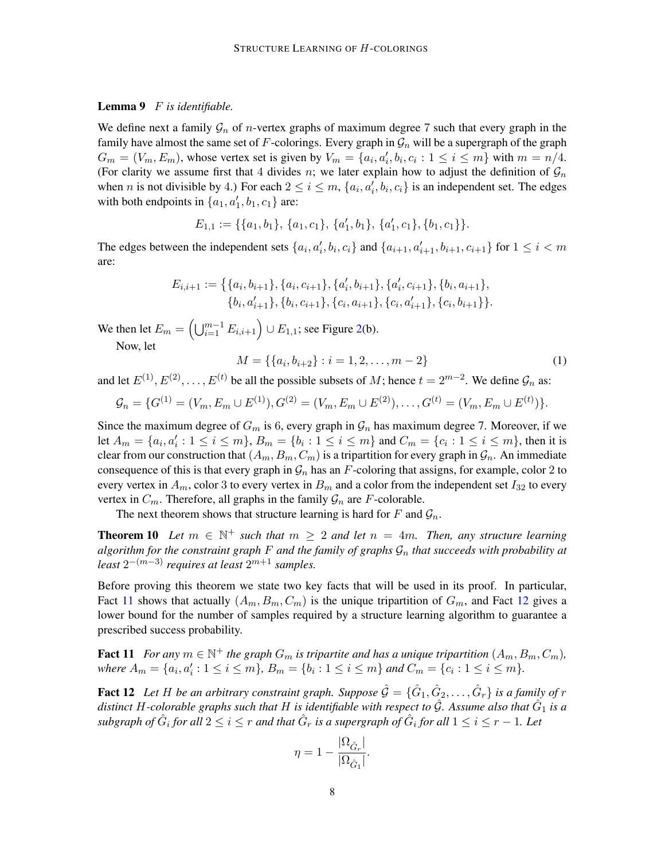## Lemma 9 F *is identifiable.*

We define next a family  $\mathcal{G}_n$  of *n*-vertex graphs of maximum degree 7 such that every graph in the family have almost the same set of F-colorings. Every graph in  $\mathcal{G}_n$  will be a supergraph of the graph  $G_m = (V_m, E_m)$ , whose vertex set is given by  $V_m = \{a_i, a'_i, b_i, c_i : 1 \le i \le m\}$  with  $m = n/4$ . (For clarity we assume first that 4 divides n; we later explain how to adjust the definition of  $\mathcal{G}_n$ when *n* is not divisible by 4.) For each  $2 \le i \le m$ ,  $\{a_i, a'_i, b_i, c_i\}$  is an independent set. The edges with both endpoints in  $\{a_1, a'_1, b_1, c_1\}$  are:

$$
E_{1,1} := \{\{a_1,b_1\},\, \{a_1,c_1\},\, \{a'_1,b_1\},\, \{a'_1,c_1\},\{b_1,c_1\}\}.
$$

The edges between the independent sets  $\{a_i, a'_i, b_i, c_i\}$  and  $\{a_{i+1}, a'_{i+1}, b_{i+1}, c_{i+1}\}$  for  $1 \le i < m$ are:

$$
E_{i,i+1} := \{ \{a_i, b_{i+1}\}, \{a_i, c_{i+1}\}, \{a'_i, b_{i+1}\}, \{a'_i, c_{i+1}\}, \{b_i, a_{i+1}\}, \{b_i, a'_{i+1}\}, \{b_i, c_{i+1}\}, \{c_i, a_{i+1}\}, \{c_i, a'_{i+1}\}, \{c_i, b_{i+1}\} \}.
$$

We then let  $E_m = \left(\bigcup_{i=1}^{m-1} E_{i,i+1}\right) \cup E_{1,1}$ ; see Figure [2\(](#page-6-2)b). Now, let

<span id="page-7-3"></span><span id="page-7-2"></span> $M = \{\{a_i, b_{i+2}\} : i = 1, 2, \dots, m-2\}$  (1)

and let  $E^{(1)}, E^{(2)}, \ldots, E^{(t)}$  be all the possible subsets of M; hence  $t = 2^{m-2}$ . We define  $\mathcal{G}_n$  as:

$$
\mathcal{G}_n = \{G^{(1)} = (V_m, E_m \cup E^{(1)}), G^{(2)} = (V_m, E_m \cup E^{(2)}), \dots, G^{(t)} = (V_m, E_m \cup E^{(t)})\}.
$$

Since the maximum degree of  $G_m$  is 6, every graph in  $\mathcal{G}_n$  has maximum degree 7. Moreover, if we let  $A_m = \{a_i, a'_i : 1 \le i \le m\}$ ,  $B_m = \{b_i : 1 \le i \le m\}$  and  $C_m = \{c_i : 1 \le i \le m\}$ , then it is clear from our construction that  $(A_m, B_m, C_m)$  is a tripartition for every graph in  $\mathcal{G}_n$ . An immediate consequence of this is that every graph in  $\mathcal{G}_n$  has an F-coloring that assigns, for example, color 2 to every vertex in  $A_m$ , color 3 to every vertex in  $B_m$  and a color from the independent set  $I_{32}$  to every vertex in  $C_m$ . Therefore, all graphs in the family  $\mathcal{G}_n$  are F-colorable.

The next theorem shows that structure learning is hard for F and  $\mathcal{G}_n$ .

**Theorem 10** Let  $m \in \mathbb{N}^+$  such that  $m \geq 2$  and let  $n = 4m$ . Then, any structure learning *algorithm for the constraint graph* F *and the family of graphs* G<sup>n</sup> *that succeeds with probability at*  $least 2^{-(m-3)}$  *requires at least*  $2^{m+1}$  *samples.* 

Before proving this theorem we state two key facts that will be used in its proof. In particular, Fact [11](#page-7-0) shows that actually  $(A_m, B_m, C_m)$  is the unique tripartition of  $G_m$ , and Fact [12](#page-7-1) gives a lower bound for the number of samples required by a structure learning algorithm to guarantee a prescribed success probability.

<span id="page-7-0"></span>**Fact 11** For any  $m \in \mathbb{N}^+$  the graph  $G_m$  is tripartite and has a unique tripartition  $(A_m, B_m, C_m)$ , where  $A_m = \{a_i, a'_i : 1 \leq i \leq m\}$ ,  $B_m = \{b_i : 1 \leq i \leq m\}$  and  $C_m = \{c_i : 1 \leq i \leq m\}$ .

<span id="page-7-1"></span>**Fact 12** Let H be an arbitrary constraint graph. Suppose  $\hat{G} = \{\hat{G}_1, \hat{G}_2, \ldots, \hat{G}_r\}$  is a family of r distinct H-colorable graphs such that H is identifiable with respect to  $\hat{\mathcal{G}}$ . Assume also that  $\hat{G}_1$  is a  $s$ ubgraph of  $\hat G_i$  for all  $2\leq i\leq r$  and that  $\hat G_r$  is a supergraph of  $\hat G_i$  for all  $1\leq i\leq r-1.$  Let

$$
\eta = 1 - \frac{|\Omega_{\hat{G}_r}|}{|\Omega_{\hat{G}_1}|}.
$$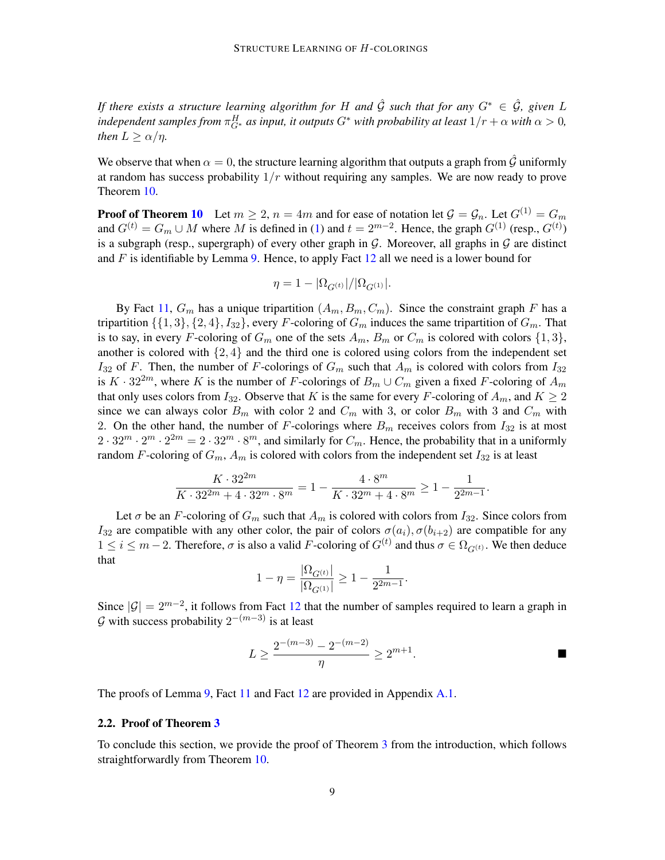*If there exists a structure learning algorithm for H and*  $\hat{G}$  *such that for any*  $G^* \in \hat{\mathcal{G}}$ *, given* L independent samples from  $\pi^H_{G^*}$  as input, it outputs  $G^*$  with probability at least  $1/r+\alpha$  with  $\alpha>0$ , *then*  $L \geq \alpha/\eta$ *.* 

We observe that when  $\alpha = 0$ , the structure learning algorithm that outputs a graph from  $\hat{G}$  uniformly at random has success probability  $1/r$  without requiring any samples. We are now ready to prove Theorem [10.](#page-7-2)

**Proof of Theorem [10](#page-7-2)** Let  $m \ge 2$ ,  $n = 4m$  and for ease of notation let  $\mathcal{G} = \mathcal{G}_n$ . Let  $G^{(1)} = G_m$ and  $G^{(t)} = G_m \cup M$  where M is defined in [\(1\)](#page-7-3) and  $t = 2^{m-2}$ . Hence, the graph  $G^{(1)}$  (resp.,  $G^{(t)}$ ) is a subgraph (resp., supergraph) of every other graph in  $G$ . Moreover, all graphs in  $G$  are distinct and  $F$  is identifiable by Lemma [9.](#page-6-3) Hence, to apply Fact [12](#page-7-1) all we need is a lower bound for

$$
\eta = 1 - |\Omega_{G^{(t)}}| / |\Omega_{G^{(1)}}|.
$$

By Fact [11,](#page-7-0)  $G_m$  has a unique tripartition  $(A_m, B_m, C_m)$ . Since the constraint graph F has a tripartition  $\{\{1,3\},\{2,4\},I_{32}\}\text{, every }F\text{-coloring of }G_m\text{ induces the same tripartition of }G_m.$  That is to say, in every F-coloring of  $G_m$  one of the sets  $A_m$ ,  $B_m$  or  $C_m$  is colored with colors  $\{1,3\}$ , another is colored with  $\{2, 4\}$  and the third one is colored using colors from the independent set  $I_{32}$  of F. Then, the number of F-colorings of  $G_m$  such that  $A_m$  is colored with colors from  $I_{32}$ is  $K \cdot 32^{2m}$ , where K is the number of F-colorings of  $B_m \cup C_m$  given a fixed F-coloring of  $A_m$ that only uses colors from  $I_{32}$ . Observe that K is the same for every F-coloring of  $A_m$ , and  $K \geq 2$ since we can always color  $B_m$  with color 2 and  $C_m$  with 3, or color  $B_m$  with 3 and  $C_m$  with 2. On the other hand, the number of F-colorings where  $B_m$  receives colors from  $I_{32}$  is at most  $2 \cdot 32^m \cdot 2^m \cdot 2^{2m} = 2 \cdot 32^m \cdot 8^m$ , and similarly for  $C_m$ . Hence, the probability that in a uniformly random F-coloring of  $G_m$ ,  $A_m$  is colored with colors from the independent set  $I_{32}$  is at least

$$
\frac{K \cdot 32^{2m}}{K \cdot 32^{2m} + 4 \cdot 32^m \cdot 8^m} = 1 - \frac{4 \cdot 8^m}{K \cdot 32^m + 4 \cdot 8^m} \ge 1 - \frac{1}{2^{2m-1}}.
$$

Let  $\sigma$  be an F-coloring of  $G_m$  such that  $A_m$  is colored with colors from  $I_{32}$ . Since colors from  $I_{32}$  are compatible with any other color, the pair of colors  $\sigma(a_i)$ ,  $\sigma(b_{i+2})$  are compatible for any  $1 \le i \le m-2$ . Therefore,  $\sigma$  is also a valid F-coloring of  $G^{(t)}$  and thus  $\sigma \in \Omega_{G^{(t)}}$ . We then deduce that

$$
1 - \eta = \frac{|\Omega_{G^{(t)}}|}{|\Omega_{G^{(1)}}|} \ge 1 - \frac{1}{2^{2m-1}}
$$

Since  $|\mathcal{G}| = 2^{m-2}$ , it follows from Fact [12](#page-7-1) that the number of samples required to learn a graph in  $\mathcal G$  with success probability  $2^{-(m-3)}$  is at least

$$
L \ge \frac{2^{-(m-3)} - 2^{-(m-2)}}{\eta} \ge 2^{m+1}.
$$

.

The proofs of Lemma [9,](#page-6-3) Fact [11](#page-7-0) and Fact [12](#page-7-1) are provided in Appendix [A.1.](#page-17-0)

### 2.2. Proof of Theorem [3](#page-3-1)

To conclude this section, we provide the proof of Theorem [3](#page-3-1) from the introduction, which follows straightforwardly from Theorem [10.](#page-7-2)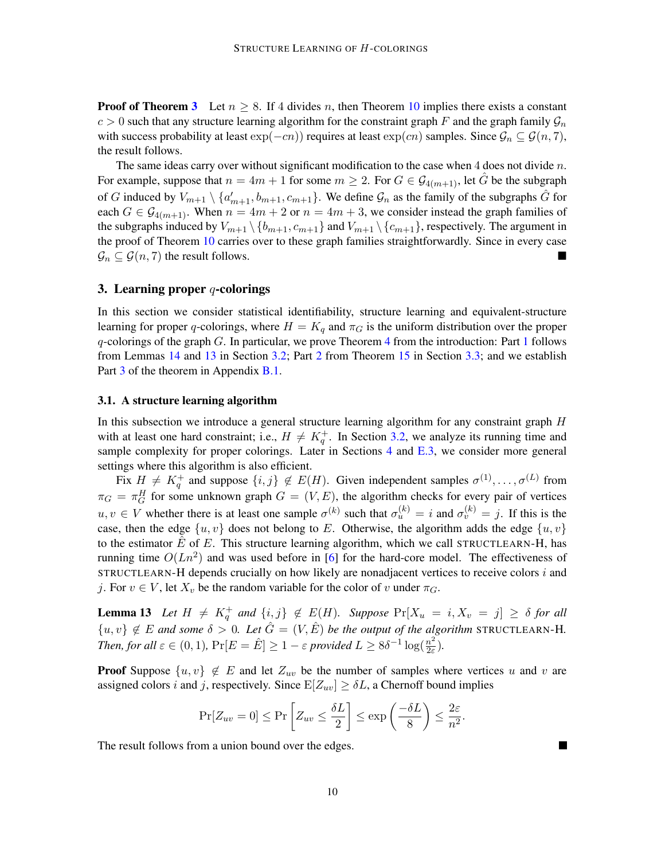**Proof of Theorem [3](#page-3-1)** Let  $n \ge 8$ . If 4 divides n, then Theorem [10](#page-7-2) implies there exists a constant  $c > 0$  such that any structure learning algorithm for the constraint graph F and the graph family  $\mathcal{G}_n$ with success probability at least  $\exp(-cn)$  requires at least  $\exp(cn)$  samples. Since  $\mathcal{G}_n \subseteq \mathcal{G}(n, 7)$ , the result follows.

The same ideas carry over without significant modification to the case when 4 does not divide  $n$ . For example, suppose that  $n = 4m + 1$  for some  $m \geq 2$ . For  $G \in \mathcal{G}_{4(m+1)}$ , let  $\tilde{G}$  be the subgraph of G induced by  $V_{m+1} \setminus \{a'_{m+1}, b_{m+1}, c_{m+1}\}\$ . We define  $\mathcal{G}_n$  as the family of the subgraphs  $\hat{G}$  for each  $G \in \mathcal{G}_{4(m+1)}$ . When  $n = 4m + 2$  or  $n = 4m + 3$ , we consider instead the graph families of the subgraphs induced by  $V_{m+1} \setminus \{b_{m+1}, c_{m+1}\}\$  and  $V_{m+1} \setminus \{c_{m+1}\}\$ , respectively. The argument in the proof of Theorem [10](#page-7-2) carries over to these graph families straightforwardly. Since in every case  $\mathcal{G}_n \subseteq \mathcal{G}(n, 7)$  the result follows.

## <span id="page-9-0"></span>3. Learning proper  $q$ -colorings

In this section we consider statistical identifiability, structure learning and equivalent-structure learning for proper q-colorings, where  $H = K_q$  and  $\pi_G$  is the uniform distribution over the proper  $q$ -colorings of the graph  $G$ . In particular, we prove Theorem [4](#page-4-1) from the introduction: Part [1](#page-4-3) follows from Lemmas [14](#page-10-0) and [13](#page-9-2) in Section [3.2;](#page-10-1) Part [2](#page-4-4) from Theorem [15](#page-11-2) in Section [3.3;](#page-11-3) and we establish Part [3](#page-4-0) of the theorem in Appendix [B.1.](#page-18-0)

### <span id="page-9-1"></span>3.1. A structure learning algorithm

In this subsection we introduce a general structure learning algorithm for any constraint graph H with at least one hard constraint; i.e.,  $H \neq K_q^+$ . In Section [3.2,](#page-10-1) we analyze its running time and sample complexity for proper colorings. Later in Sections [4](#page-11-1) and [E.3,](#page-28-0) we consider more general settings where this algorithm is also efficient.

Fix  $H \neq K_q^+$  and suppose  $\{i, j\} \notin E(H)$ . Given independent samples  $\sigma^{(1)}, \ldots, \sigma^{(L)}$  from  $\pi_G = \pi_G^H$  for some unknown graph  $G = (V, E)$ , the algorithm checks for every pair of vertices  $u, v \in V$  whether there is at least one sample  $\sigma^{(k)}$  such that  $\sigma_u^{(k)} = i$  and  $\sigma_v^{(k)} = j$ . If this is the case, then the edge  $\{u, v\}$  does not belong to E. Otherwise, the algorithm adds the edge  $\{u, v\}$ to the estimator  $\hat{E}$  of E. This structure learning algorithm, which we call STRUCTLEARN-H, has running time  $O(Ln^2)$  and was used before in [\[6\]](#page-12-9) for the hard-core model. The effectiveness of STRUCTLEARN-H depends crucially on how likely are nonadjacent vertices to receive colors i and j. For  $v \in V$ , let  $X_v$  be the random variable for the color of v under  $\pi_G$ .

<span id="page-9-2"></span>**Lemma 13** Let  $H \neq K_q^+$  and  $\{i, j\} \notin E(H)$ . Suppose  $Pr[X_u = i, X_v = j] \geq \delta$  for all  ${u, v} \notin E$  and some  $\delta > 0$ . Let  $\hat{G} = (V, \hat{E})$  be the output of the algorithm STRUCTLEARN-H. *Then, for all*  $\varepsilon \in (0, 1)$ ,  $Pr[E = \hat{E}] \ge 1 - \varepsilon$  *provided*  $L \ge 8\delta^{-1} \log(\frac{n^2}{2\varepsilon})$  $\frac{n^2}{2\varepsilon}$ ).

**Proof** Suppose  $\{u, v\} \notin E$  and let  $Z_{uv}$  be the number of samples where vertices u and v are assigned colors i and j, respectively. Since  $E[Z_{uv}] \geq \delta L$ , a Chernoff bound implies

$$
\Pr[Z_{uv} = 0] \le \Pr\left[Z_{uv} \le \frac{\delta L}{2}\right] \le \exp\left(\frac{-\delta L}{8}\right) \le \frac{2\varepsilon}{n^2}.
$$

٠

The result follows from a union bound over the edges.

10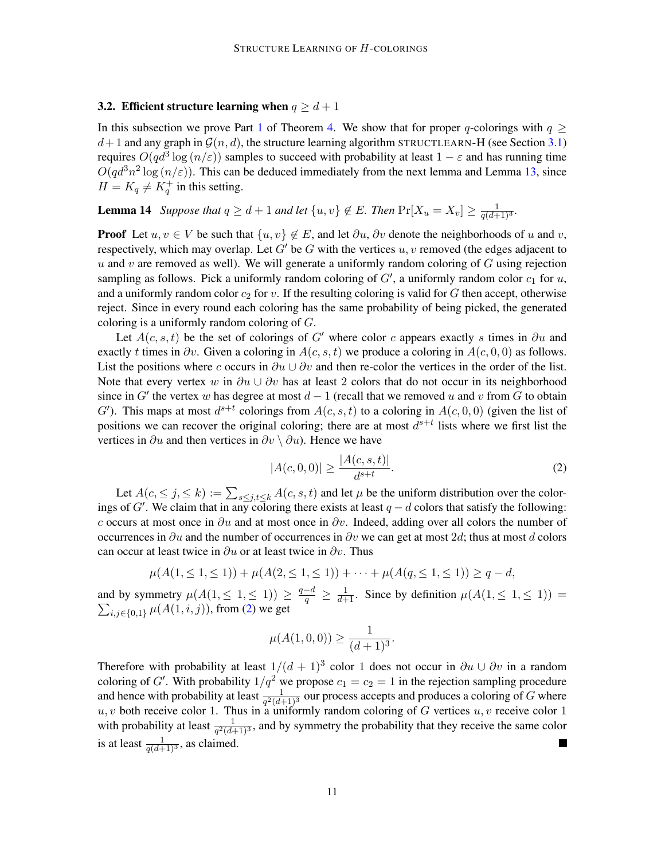## <span id="page-10-1"></span>3.2. Efficient structure learning when  $q \geq d+1$

In this subsection we prove Part [1](#page-4-3) of Theorem [4.](#page-4-1) We show that for proper q-colorings with  $q \ge$  $d+1$  and any graph in  $\mathcal{G}(n, d)$ , the structure learning algorithm STRUCTLEARN-H (see Section [3.1\)](#page-9-1) requires  $O(qd^3 \log{(n/\varepsilon)})$  samples to succeed with probability at least  $1 - \varepsilon$  and has running time  $O(qd^3n^2 \log{(n/\epsilon)})$ . This can be deduced immediately from the next lemma and Lemma [13,](#page-9-2) since  $H = K_q \neq K_q^+$  in this setting.

<span id="page-10-0"></span>**Lemma 14** Suppose that  $q \geq d+1$  and let  $\{u, v\} \notin E$ . Then  $\Pr[X_u = X_v] \geq \frac{1}{q(d+1)^3}$ .

**Proof** Let  $u, v \in V$  be such that  $\{u, v\} \notin E$ , and let  $\partial u, \partial v$  denote the neighborhoods of u and v, respectively, which may overlap. Let G' be G with the vertices  $u, v$  removed (the edges adjacent to u and v are removed as well). We will generate a uniformly random coloring of  $G$  using rejection sampling as follows. Pick a uniformly random coloring of  $G'$ , a uniformly random color  $c_1$  for  $u$ , and a uniformly random color  $c_2$  for v. If the resulting coloring is valid for G then accept, otherwise reject. Since in every round each coloring has the same probability of being picked, the generated coloring is a uniformly random coloring of G.

Let  $A(c, s, t)$  be the set of colorings of G' where color c appears exactly s times in ∂u and exactly t times in  $\partial v$ . Given a coloring in  $A(c, s, t)$  we produce a coloring in  $A(c, 0, 0)$  as follows. List the positions where c occurs in  $\partial u \cup \partial v$  and then re-color the vertices in the order of the list. Note that every vertex w in  $\partial u \cup \partial v$  has at least 2 colors that do not occur in its neighborhood since in G' the vertex w has degree at most  $d-1$  (recall that we removed u and v from G to obtain G'). This maps at most  $d^{s+t}$  colorings from  $A(c, s, t)$  to a coloring in  $A(c, 0, 0)$  (given the list of positions we can recover the original coloring; there are at most  $d^{s+t}$  lists where we first list the vertices in  $\partial u$  and then vertices in  $\partial v \setminus \partial u$ . Hence we have

<span id="page-10-2"></span>
$$
|A(c,0,0)| \ge \frac{|A(c,s,t)|}{d^{s+t}}.\tag{2}
$$

Let  $A(c, \leq j, \leq k) := \sum_{s \leq j, t \leq k} A(c, s, t)$  and let  $\mu$  be the uniform distribution over the colorings of G'. We claim that in any coloring there exists at least  $q - d$  colors that satisfy the following: c occurs at most once in  $\partial u$  and at most once in  $\partial v$ . Indeed, adding over all colors the number of occurrences in  $\partial u$  and the number of occurrences in  $\partial v$  we can get at most 2d; thus at most d colors can occur at least twice in  $\partial u$  or at least twice in  $\partial v$ . Thus

$$
\mu(A(1,\leq 1,\leq 1)) + \mu(A(2,\leq 1,\leq 1)) + \cdots + \mu(A(q,\leq 1,\leq 1)) \geq q-d,
$$

and by symmetry  $\mu(A(1, \leq 1, \leq 1)) \geq \frac{q-d}{q} \geq \frac{1}{d+1}$ and by symmetry  $\mu(A(1, \le 1, \le 1)) \le q \le d+1$ <br>  $\sum_{i,j \in \{0,1\}} \mu(A(1,i,j))$ , from (2) we get . Since by definition  $\mu(A(1, \leq 1, \leq 1))$  =  $_{i,j\in\{0,1\}}\,\mu(A(1,i,j)),$  from [\(2\)](#page-10-2) we get

$$
\mu(A(1,0,0)) \ge \frac{1}{(d+1)^3}.
$$

Therefore with probability at least  $1/(d+1)^3$  color 1 does not occur in  $\partial u \cup \partial v$  in a random coloring of G'. With probability  $1/q^2$  we propose  $c_1 = c_2 = 1$  in the rejection sampling procedure and hence with probability at least  $\frac{1}{q^2(d+1)^3}$  our process accepts and produces a coloring of G where  $u, v$  both receive color 1. Thus in a uniformly random coloring of G vertices  $u, v$  receive color 1 with probability at least  $\frac{1}{q^2(d+1)^3}$ , and by symmetry the probability that they receive the same color is at least  $\frac{1}{q(d+1)^3}$ , as claimed. Ш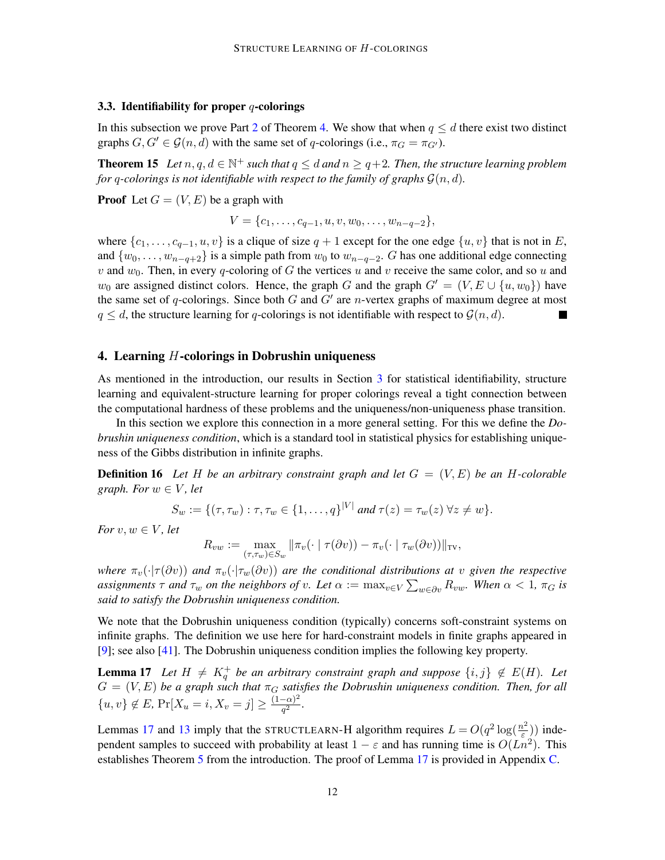### <span id="page-11-3"></span>3.3. Identifiability for proper  $q$ -colorings

In this subsection we prove Part [2](#page-4-4) of Theorem [4.](#page-4-1) We show that when  $q \leq d$  there exist two distinct graphs  $G, G' \in \mathcal{G}(n, d)$  with the same set of q-colorings (i.e.,  $\pi_G = \pi_{G'}$ ).

<span id="page-11-2"></span>**Theorem 15** Let  $n, q, d \in \mathbb{N}^+$  such that  $q \leq d$  and  $n \geq q+2$ . Then, the structure learning problem *for* q-colorings is not identifiable with respect to the family of graphs  $\mathcal{G}(n, d)$ *.* 

**Proof** Let  $G = (V, E)$  be a graph with

 $V = \{c_1, \ldots, c_{q-1}, u, v, w_0, \ldots, w_{n-q-2}\},\$ 

where  $\{c_1, \ldots, c_{q-1}, u, v\}$  is a clique of size  $q + 1$  except for the one edge  $\{u, v\}$  that is not in E, and  $\{w_0, \ldots, w_{n-q+2}\}\$  is a simple path from  $w_0$  to  $w_{n-q-2}$ . G has one additional edge connecting v and  $w_0$ . Then, in every q-coloring of G the vertices u and v receive the same color, and so u and  $w_0$  are assigned distinct colors. Hence, the graph G and the graph  $G' = (V, E \cup \{u, w_0\})$  have the same set of q-colorings. Since both  $G$  and  $G'$  are n-vertex graphs of maximum degree at most  $q \leq d$ , the structure learning for q-colorings is not identifiable with respect to  $\mathcal{G}(n, d)$ .

### <span id="page-11-1"></span>4. Learning  $H$ -colorings in Dobrushin uniqueness

As mentioned in the introduction, our results in Section [3](#page-9-0) for statistical identifiability, structure learning and equivalent-structure learning for proper colorings reveal a tight connection between the computational hardness of these problems and the uniqueness/non-uniqueness phase transition.

In this section we explore this connection in a more general setting. For this we define the *Dobrushin uniqueness condition*, which is a standard tool in statistical physics for establishing uniqueness of the Gibbs distribution in infinite graphs.

<span id="page-11-0"></span>**Definition 16** Let H be an arbitrary constraint graph and let  $G = (V, E)$  be an H-colorable *graph.* For  $w \in V$ , let

$$
S_w := \{(\tau, \tau_w) : \tau, \tau_w \in \{1, \ldots, q\}^{|V|} \text{ and } \tau(z) = \tau_w(z) \ \forall z \neq w\}.
$$

*For*  $v, w \in V$ *, let* 

$$
R_{vw} := \max_{(\tau,\tau_w) \in S_w} ||\pi_v(\cdot \mid \tau(\partial v)) - \pi_v(\cdot \mid \tau_w(\partial v))||_{\text{TV}},
$$

*where*  $\pi_v(\cdot|\tau(\partial v))$  *and*  $\pi_v(\cdot|\tau_w(\partial v))$  *are the conditional distributions at* v *given the respective* assignments  $\tau$  and  $\tau_w$  on the neighbors of v. Let  $\alpha := \max_{v \in V} \sum_{w \in \partial v} R_{vw}$ . When  $\alpha < 1$ ,  $\pi_G$  is *said to satisfy the Dobrushin uniqueness condition.*

We note that the Dobrushin uniqueness condition (typically) concerns soft-constraint systems on infinite graphs. The definition we use here for hard-constraint models in finite graphs appeared in [\[9\]](#page-12-13); see also [\[41\]](#page-14-12). The Dobrushin uniqueness condition implies the following key property.

<span id="page-11-4"></span>**Lemma 17** Let  $H \neq K_q^+$  be an arbitrary constraint graph and suppose  $\{i, j\} \notin E(H)$ . Let  $G = (V, E)$  be a graph such that  $\pi_G$  satisfies the Dobrushin uniqueness condition. Then, for all  ${u, v} \notin E$ , Pr $[X_u = i, X_v = j] \geq \frac{(1-\alpha)^2}{a^2}$  $\frac{-(\alpha)^2}{q^2}$ .

Lemmas [17](#page-11-4) and [13](#page-9-2) imply that the STRUCTLEARN-H algorithm requires  $L = O(q^2 \log(\frac{n^2}{\epsilon}))$  $\left(\frac{\partial^2}{\partial \varepsilon}\right)$  independent samples to succeed with probability at least  $1 - \varepsilon$  and has running time is  $O(Ln^2)$ . This establishes Theorem [5](#page-4-2) from the introduction. The proof of Lemma [17](#page-11-4) is provided in Appendix [C.](#page-25-0)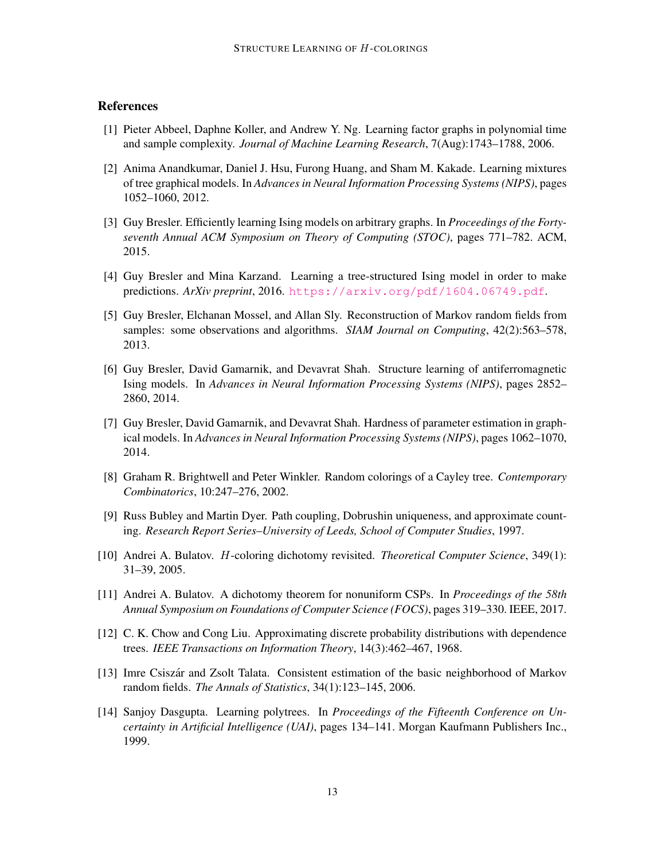# References

- <span id="page-12-10"></span>[1] Pieter Abbeel, Daphne Koller, and Andrew Y. Ng. Learning factor graphs in polynomial time and sample complexity. *Journal of Machine Learning Research*, 7(Aug):1743–1788, 2006.
- <span id="page-12-3"></span>[2] Anima Anandkumar, Daniel J. Hsu, Furong Huang, and Sham M. Kakade. Learning mixtures of tree graphical models. In *Advances in Neural Information Processing Systems (NIPS)*, pages 1052–1060, 2012.
- <span id="page-12-6"></span>[3] Guy Bresler. Efficiently learning Ising models on arbitrary graphs. In *Proceedings of the Fortyseventh Annual ACM Symposium on Theory of Computing (STOC)*, pages 771–782. ACM, 2015.
- <span id="page-12-11"></span>[4] Guy Bresler and Mina Karzand. Learning a tree-structured Ising model in order to make predictions. *ArXiv preprint*, 2016. <https://arxiv.org/pdf/1604.06749.pdf>.
- <span id="page-12-4"></span>[5] Guy Bresler, Elchanan Mossel, and Allan Sly. Reconstruction of Markov random fields from samples: some observations and algorithms. *SIAM Journal on Computing*, 42(2):563–578, 2013.
- <span id="page-12-9"></span>[6] Guy Bresler, David Gamarnik, and Devavrat Shah. Structure learning of antiferromagnetic Ising models. In *Advances in Neural Information Processing Systems (NIPS)*, pages 2852– 2860, 2014.
- <span id="page-12-5"></span>[7] Guy Bresler, David Gamarnik, and Devavrat Shah. Hardness of parameter estimation in graphical models. In *Advances in Neural Information Processing Systems (NIPS)*, pages 1062–1070, 2014.
- <span id="page-12-12"></span>[8] Graham R. Brightwell and Peter Winkler. Random colorings of a Cayley tree. *Contemporary Combinatorics*, 10:247–276, 2002.
- <span id="page-12-13"></span>[9] Russ Bubley and Martin Dyer. Path coupling, Dobrushin uniqueness, and approximate counting. *Research Report Series–University of Leeds, School of Computer Studies*, 1997.
- <span id="page-12-7"></span>[10] Andrei A. Bulatov. H-coloring dichotomy revisited. *Theoretical Computer Science*, 349(1): 31–39, 2005.
- <span id="page-12-8"></span>[11] Andrei A. Bulatov. A dichotomy theorem for nonuniform CSPs. In *Proceedings of the 58th Annual Symposium on Foundations of Computer Science (FOCS)*, pages 319–330. IEEE, 2017.
- <span id="page-12-0"></span>[12] C. K. Chow and Cong Liu. Approximating discrete probability distributions with dependence trees. *IEEE Transactions on Information Theory*, 14(3):462–467, 1968.
- <span id="page-12-2"></span>[13] Imre Csiszar and Zsolt Talata. Consistent estimation of the basic neighborhood of Markov ´ random fields. *The Annals of Statistics*, 34(1):123–145, 2006.
- <span id="page-12-1"></span>[14] Sanjoy Dasgupta. Learning polytrees. In *Proceedings of the Fifteenth Conference on Uncertainty in Artificial Intelligence (UAI)*, pages 134–141. Morgan Kaufmann Publishers Inc., 1999.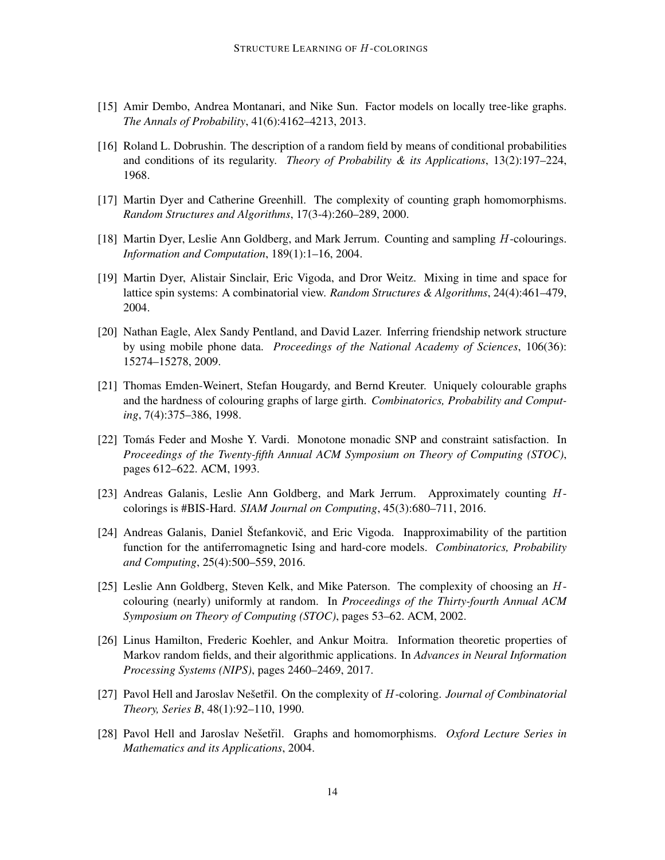- <span id="page-13-13"></span>[15] Amir Dembo, Andrea Montanari, and Nike Sun. Factor models on locally tree-like graphs. *The Annals of Probability*, 41(6):4162–4213, 2013.
- <span id="page-13-11"></span>[16] Roland L. Dobrushin. The description of a random field by means of conditional probabilities and conditions of its regularity. *Theory of Probability & its Applications*, 13(2):197–224, 1968.
- <span id="page-13-5"></span>[17] Martin Dyer and Catherine Greenhill. The complexity of counting graph homomorphisms. *Random Structures and Algorithms*, 17(3-4):260–289, 2000.
- <span id="page-13-7"></span>[18] Martin Dyer, Leslie Ann Goldberg, and Mark Jerrum. Counting and sampling H-colourings. *Information and Computation*, 189(1):1–16, 2004.
- <span id="page-13-12"></span>[19] Martin Dyer, Alistair Sinclair, Eric Vigoda, and Dror Weitz. Mixing in time and space for lattice spin systems: A combinatorial view. *Random Structures & Algorithms*, 24(4):461–479, 2004.
- <span id="page-13-0"></span>[20] Nathan Eagle, Alex Sandy Pentland, and David Lazer. Inferring friendship network structure by using mobile phone data. *Proceedings of the National Academy of Sciences*, 106(36): 15274–15278, 2009.
- <span id="page-13-10"></span>[21] Thomas Emden-Weinert, Stefan Hougardy, and Bernd Kreuter. Uniquely colourable graphs and the hardness of colouring graphs of large girth. *Combinatorics, Probability and Computing*, 7(4):375–386, 1998.
- <span id="page-13-4"></span>[22] Tomás Feder and Moshe Y. Vardi. Monotone monadic SNP and constraint satisfaction. In *Proceedings of the Twenty-fifth Annual ACM Symposium on Theory of Computing (STOC)*, pages 612–622. ACM, 1993.
- <span id="page-13-8"></span>[23] Andreas Galanis, Leslie Ann Goldberg, and Mark Jerrum. Approximately counting Hcolorings is #BIS-Hard. *SIAM Journal on Computing*, 45(3):680–711, 2016.
- <span id="page-13-9"></span>[24] Andreas Galanis, Daniel Štefankovič, and Eric Vigoda. Inapproximability of the partition function for the antiferromagnetic Ising and hard-core models. *Combinatorics, Probability and Computing*, 25(4):500–559, 2016.
- <span id="page-13-6"></span>[25] Leslie Ann Goldberg, Steven Kelk, and Mike Paterson. The complexity of choosing an Hcolouring (nearly) uniformly at random. In *Proceedings of the Thirty-fourth Annual ACM Symposium on Theory of Computing (STOC)*, pages 53–62. ACM, 2002.
- <span id="page-13-1"></span>[26] Linus Hamilton, Frederic Koehler, and Ankur Moitra. Information theoretic properties of Markov random fields, and their algorithmic applications. In *Advances in Neural Information Processing Systems (NIPS)*, pages 2460–2469, 2017.
- <span id="page-13-2"></span>[27] Pavol Hell and Jaroslav Nešetřil. On the complexity of H-coloring. *Journal of Combinatorial Theory, Series B*, 48(1):92–110, 1990.
- <span id="page-13-3"></span>[28] Pavol Hell and Jaroslav Nešetřil. Graphs and homomorphisms. *Oxford Lecture Series in Mathematics and its Applications*, 2004.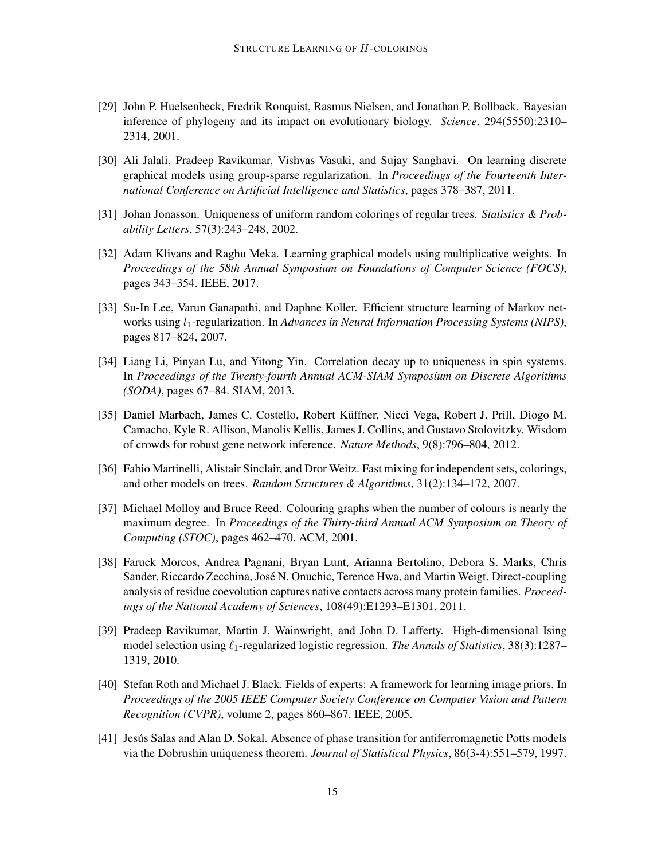- <span id="page-14-0"></span>[29] John P. Huelsenbeck, Fredrik Ronquist, Rasmus Nielsen, and Jonathan P. Bollback. Bayesian inference of phylogeny and its impact on evolutionary biology. *Science*, 294(5550):2310– 2314, 2001.
- <span id="page-14-5"></span>[30] Ali Jalali, Pradeep Ravikumar, Vishvas Vasuki, and Sujay Sanghavi. On learning discrete graphical models using group-sparse regularization. In *Proceedings of the Fourteenth International Conference on Artificial Intelligence and Statistics*, pages 378–387, 2011.
- <span id="page-14-8"></span>[31] Johan Jonasson. Uniqueness of uniform random colorings of regular trees. *Statistics & Probability Letters*, 57(3):243–248, 2002.
- <span id="page-14-7"></span>[32] Adam Klivans and Raghu Meka. Learning graphical models using multiplicative weights. In *Proceedings of the 58th Annual Symposium on Foundations of Computer Science (FOCS)*, pages 343–354. IEEE, 2017.
- <span id="page-14-4"></span>[33] Su-In Lee, Varun Ganapathi, and Daphne Koller. Efficient structure learning of Markov networks using  $l_1$ -regularization. In *Advances in Neural Information Processing Systems (NIPS)*, pages 817–824, 2007.
- <span id="page-14-9"></span>[34] Liang Li, Pinyan Lu, and Yitong Yin. Correlation decay up to uniqueness in spin systems. In *Proceedings of the Twenty-fourth Annual ACM-SIAM Symposium on Discrete Algorithms (SODA)*, pages 67–84. SIAM, 2013.
- <span id="page-14-1"></span>[35] Daniel Marbach, James C. Costello, Robert Kuffner, Nicci Vega, Robert J. Prill, Diogo M. ¨ Camacho, Kyle R. Allison, Manolis Kellis, James J. Collins, and Gustavo Stolovitzky. Wisdom of crowds for robust gene network inference. *Nature Methods*, 9(8):796–804, 2012.
- <span id="page-14-11"></span>[36] Fabio Martinelli, Alistair Sinclair, and Dror Weitz. Fast mixing for independent sets, colorings, and other models on trees. *Random Structures & Algorithms*, 31(2):134–172, 2007.
- <span id="page-14-10"></span>[37] Michael Molloy and Bruce Reed. Colouring graphs when the number of colours is nearly the maximum degree. In *Proceedings of the Thirty-third Annual ACM Symposium on Theory of Computing (STOC)*, pages 462–470. ACM, 2001.
- <span id="page-14-2"></span>[38] Faruck Morcos, Andrea Pagnani, Bryan Lunt, Arianna Bertolino, Debora S. Marks, Chris Sander, Riccardo Zecchina, Jose N. Onuchic, Terence Hwa, and Martin Weigt. Direct-coupling ´ analysis of residue coevolution captures native contacts across many protein families. *Proceedings of the National Academy of Sciences*, 108(49):E1293–E1301, 2011.
- <span id="page-14-6"></span>[39] Pradeep Ravikumar, Martin J. Wainwright, and John D. Lafferty. High-dimensional Ising model selection using  $\ell_1$ -regularized logistic regression. *The Annals of Statistics*, 38(3):1287– 1319, 2010.
- <span id="page-14-3"></span>[40] Stefan Roth and Michael J. Black. Fields of experts: A framework for learning image priors. In *Proceedings of the 2005 IEEE Computer Society Conference on Computer Vision and Pattern Recognition (CVPR)*, volume 2, pages 860–867. IEEE, 2005.
- <span id="page-14-12"></span>[41] Jesus Salas and Alan D. Sokal. Absence of phase transition for antiferromagnetic Potts models via the Dobrushin uniqueness theorem. *Journal of Statistical Physics*, 86(3-4):551–579, 1997.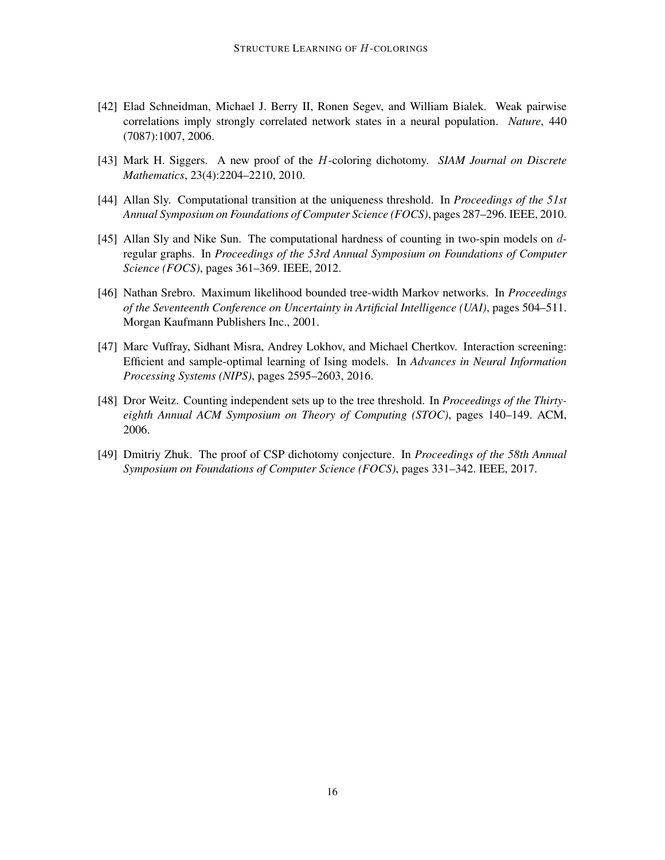- <span id="page-15-0"></span>[42] Elad Schneidman, Michael J. Berry II, Ronen Segev, and William Bialek. Weak pairwise correlations imply strongly correlated network states in a neural population. *Nature*, 440 (7087):1007, 2006.
- <span id="page-15-3"></span>[43] Mark H. Siggers. A new proof of the H-coloring dichotomy. *SIAM Journal on Discrete Mathematics*, 23(4):2204–2210, 2010.
- <span id="page-15-6"></span>[44] Allan Sly. Computational transition at the uniqueness threshold. In *Proceedings of the 51st Annual Symposium on Foundations of Computer Science (FOCS)*, pages 287–296. IEEE, 2010.
- <span id="page-15-7"></span>[45] Allan Sly and Nike Sun. The computational hardness of counting in two-spin models on dregular graphs. In *Proceedings of the 53rd Annual Symposium on Foundations of Computer Science (FOCS)*, pages 361–369. IEEE, 2012.
- <span id="page-15-1"></span>[46] Nathan Srebro. Maximum likelihood bounded tree-width Markov networks. In *Proceedings of the Seventeenth Conference on Uncertainty in Artificial Intelligence (UAI)*, pages 504–511. Morgan Kaufmann Publishers Inc., 2001.
- <span id="page-15-2"></span>[47] Marc Vuffray, Sidhant Misra, Andrey Lokhov, and Michael Chertkov. Interaction screening: Efficient and sample-optimal learning of Ising models. In *Advances in Neural Information Processing Systems (NIPS)*, pages 2595–2603, 2016.
- <span id="page-15-5"></span>[48] Dror Weitz. Counting independent sets up to the tree threshold. In *Proceedings of the Thirtyeighth Annual ACM Symposium on Theory of Computing (STOC)*, pages 140–149. ACM, 2006.
- <span id="page-15-4"></span>[49] Dmitriy Zhuk. The proof of CSP dichotomy conjecture. In *Proceedings of the 58th Annual Symposium on Foundations of Computer Science (FOCS)*, pages 331–342. IEEE, 2017.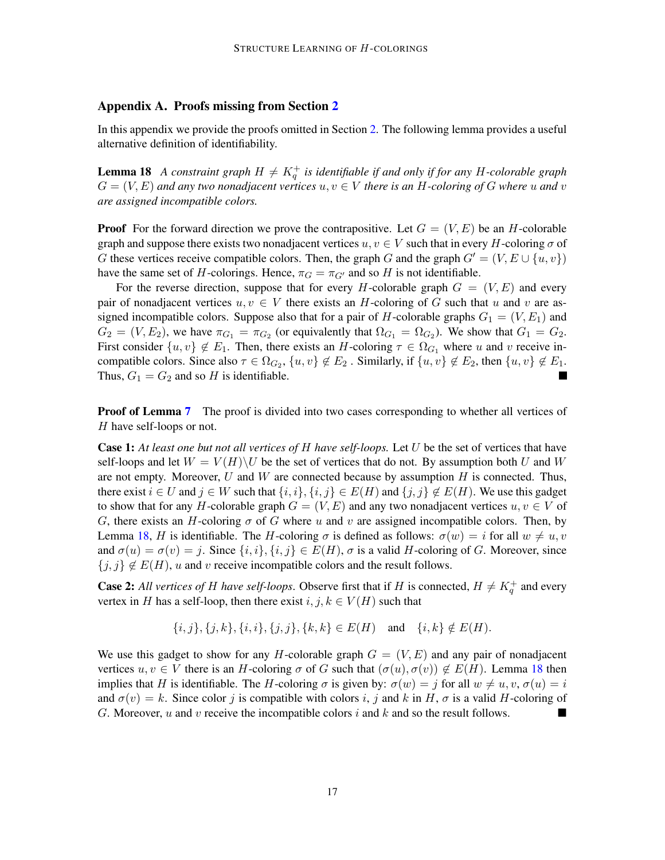# <span id="page-16-0"></span>Appendix A. Proofs missing from Section [2](#page-5-2)

In this appendix we provide the proofs omitted in Section [2.](#page-5-2) The following lemma provides a useful alternative definition of identifiability.

<span id="page-16-1"></span>**Lemma 18** A constraint graph  $H \neq K_q^+$  is identifiable if and only if for any H-colorable graph  $G = (V, E)$  and any two nonadjacent vertices  $u, v \in V$  there is an H-coloring of G where u and v *are assigned incompatible colors.*

**Proof** For the forward direction we prove the contrapositive. Let  $G = (V, E)$  be an H-colorable graph and suppose there exists two nonadjacent vertices  $u, v \in V$  such that in every H-coloring  $\sigma$  of G these vertices receive compatible colors. Then, the graph G and the graph  $G' = (V, E \cup \{u, v\})$ have the same set of H-colorings. Hence,  $\pi_G = \pi_{G'}$  and so H is not identifiable.

For the reverse direction, suppose that for every H-colorable graph  $G = (V, E)$  and every pair of nonadjacent vertices  $u, v \in V$  there exists an H-coloring of G such that u and v are assigned incompatible colors. Suppose also that for a pair of H-colorable graphs  $G_1 = (V, E_1)$  and  $G_2 = (V, E_2)$ , we have  $\pi_{G_1} = \pi_{G_2}$  (or equivalently that  $\Omega_{G_1} = \Omega_{G_2}$ ). We show that  $G_1 = G_2$ . First consider  $\{u, v\} \notin E_1$ . Then, there exists an H-coloring  $\tau \in \Omega_{G_1}$  where u and v receive incompatible colors. Since also  $\tau \in \Omega_{G_2}$ ,  $\{u, v\} \notin E_2$ . Similarly, if  $\{u, v\} \notin E_2$ , then  $\{u, v\} \notin E_1$ . Thus,  $G_1 = G_2$  and so H is identifiable.

**Proof of Lemma [7](#page-6-0)** The proof is divided into two cases corresponding to whether all vertices of H have self-loops or not.

Case 1: *At least one but not all vertices of* H *have self-loops.* Let U be the set of vertices that have self-loops and let  $W = V(H) \backslash U$  be the set of vertices that do not. By assumption both U and W are not empty. Moreover, U and W are connected because by assumption  $H$  is connected. Thus, there exist  $i \in U$  and  $j \in W$  such that  $\{i, i\}, \{i, j\} \in E(H)$  and  $\{j, j\} \notin E(H)$ . We use this gadget to show that for any H-colorable graph  $G = (V, E)$  and any two nonadjacent vertices  $u, v \in V$  of G, there exists an H-coloring  $\sigma$  of G where u and v are assigned incompatible colors. Then, by Lemma [18,](#page-16-1) H is identifiable. The H-coloring  $\sigma$  is defined as follows:  $\sigma(w) = i$  for all  $w \neq u, v$ and  $\sigma(u) = \sigma(v) = j$ . Since  $\{i, i\}, \{i, j\} \in E(H)$ ,  $\sigma$  is a valid H-coloring of G. Moreover, since  ${j, j} \notin E(H)$ , u and v receive incompatible colors and the result follows.

**Case 2:** All vertices of H have self-loops. Observe first that if H is connected,  $H \neq K_q^+$  and every vertex in H has a self-loop, then there exist  $i, j, k \in V(H)$  such that

$$
\{i, j\}, \{j, k\}, \{i, i\}, \{j, j\}, \{k, k\} \in E(H) \text{ and } \{i, k\} \notin E(H).
$$

We use this gadget to show for any H-colorable graph  $G = (V, E)$  and any pair of nonadjacent vertices  $u, v \in V$  there is an H-coloring  $\sigma$  of G such that  $(\sigma(u), \sigma(v)) \notin E(H)$ . Lemma [18](#page-16-1) then implies that H is identifiable. The H-coloring  $\sigma$  is given by:  $\sigma(w) = j$  for all  $w \neq u, v, \sigma(u) = i$ and  $\sigma(v) = k$ . Since color j is compatible with colors i, j and k in H,  $\sigma$  is a valid H-coloring of G. Moreover, u and v receive the incompatible colors i and k and so the result follows.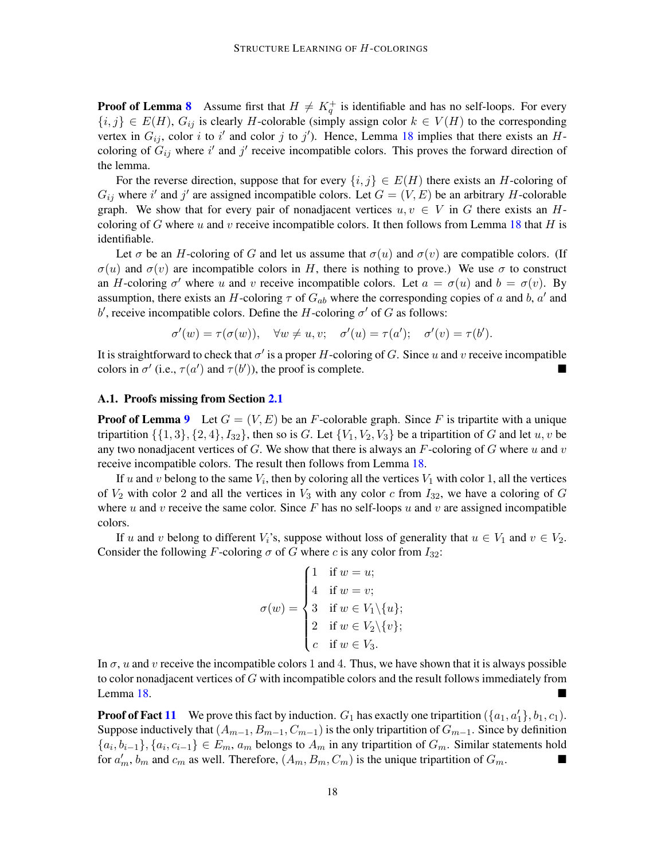**Proof of Lemma [8](#page-6-1)** Assume first that  $H \neq K_q^+$  is identifiable and has no self-loops. For every  ${i, j} \in E(H)$ ,  $G_{ij}$  is clearly H-colorable (simply assign color  $k \in V(H)$  to the corresponding vertex in  $G_{ij}$ , color i to i' and color j to j'). Hence, Lemma [18](#page-16-1) implies that there exists an Hcoloring of  $G_{ij}$  where i' and j' receive incompatible colors. This proves the forward direction of the lemma.

For the reverse direction, suppose that for every  $\{i, j\} \in E(H)$  there exists an H-coloring of  $G_{ij}$  where i' and j' are assigned incompatible colors. Let  $G = (V, E)$  be an arbitrary H-colorable graph. We show that for every pair of nonadjacent vertices  $u, v \in V$  in G there exists an H-coloring of G where u and v receive incompatible colors. It then follows from Lemma [18](#page-16-1) that H is identifiable.

Let  $\sigma$  be an H-coloring of G and let us assume that  $\sigma(u)$  and  $\sigma(v)$  are compatible colors. (If  $\sigma(u)$  and  $\sigma(v)$  are incompatible colors in H, there is nothing to prove.) We use  $\sigma$  to construct an H-coloring  $\sigma'$  where u and v receive incompatible colors. Let  $a = \sigma(u)$  and  $b = \sigma(v)$ . By assumption, there exists an H-coloring  $\tau$  of  $G_{ab}$  where the corresponding copies of a and b, a' and b', receive incompatible colors. Define the H-coloring  $\sigma'$  of G as follows:

$$
\sigma'(w) = \tau(\sigma(w)), \quad \forall w \neq u, v; \quad \sigma'(u) = \tau(a'); \quad \sigma'(v) = \tau(b').
$$

It is straightforward to check that  $\sigma'$  is a proper H-coloring of G. Since u and v receive incompatible colors in  $\sigma'$  (i.e.,  $\tau(a')$  and  $\tau(b')$ ), the proof is complete.

#### <span id="page-17-0"></span>A.1. Proofs missing from Section [2.1](#page-6-4)

**Proof of Lemma [9](#page-6-3)** Let  $G = (V, E)$  be an F-colorable graph. Since F is tripartite with a unique tripartition  $\{\{1,3\},\{2,4\},I_{32}\}\$ , then so is G. Let  $\{V_1,V_2,V_3\}$  be a tripartition of G and let  $u, v$  be any two nonadjacent vertices of G. We show that there is always an F-coloring of G where u and v receive incompatible colors. The result then follows from Lemma [18.](#page-16-1)

If u and v belong to the same  $V_i$ , then by coloring all the vertices  $V_1$  with color 1, all the vertices of  $V_2$  with color 2 and all the vertices in  $V_3$  with any color c from  $I_{32}$ , we have a coloring of G where u and v receive the same color. Since F has no self-loops u and v are assigned incompatible colors.

If u and v belong to different  $V_i$ 's, suppose without loss of generality that  $u \in V_1$  and  $v \in V_2$ . Consider the following F-coloring  $\sigma$  of G where c is any color from  $I_{32}$ :

$$
\sigma(w) = \begin{cases}\n1 & \text{if } w = u; \\
4 & \text{if } w = v; \\
3 & \text{if } w \in V_1 \setminus \{u\}; \\
2 & \text{if } w \in V_2 \setminus \{v\}; \\
c & \text{if } w \in V_3.\n\end{cases}
$$

In  $\sigma$ , u and v receive the incompatible colors 1 and 4. Thus, we have shown that it is always possible to color nonadjacent vertices of  $G$  with incompatible colors and the result follows immediately from Lemma [18.](#page-16-1)

**Proof of Fact [11](#page-7-0)** We prove this fact by induction.  $G_1$  has exactly one tripartition  $(\{a_1, a'_1\}, b_1, c_1)$ . Suppose inductively that  $(A_{m-1}, B_{m-1}, C_{m-1})$  is the only tripartition of  $G_{m-1}$ . Since by definition  $\{a_i, b_{i-1}\}, \{a_i, c_{i-1}\} \in E_m$ ,  $a_m$  belongs to  $A_m$  in any tripartition of  $G_m$ . Similar statements hold for  $a'_m$ ,  $b_m$  and  $c_m$  as well. Therefore,  $(A_m, B_m, C_m)$  is the unique tripartition of  $G_m$ .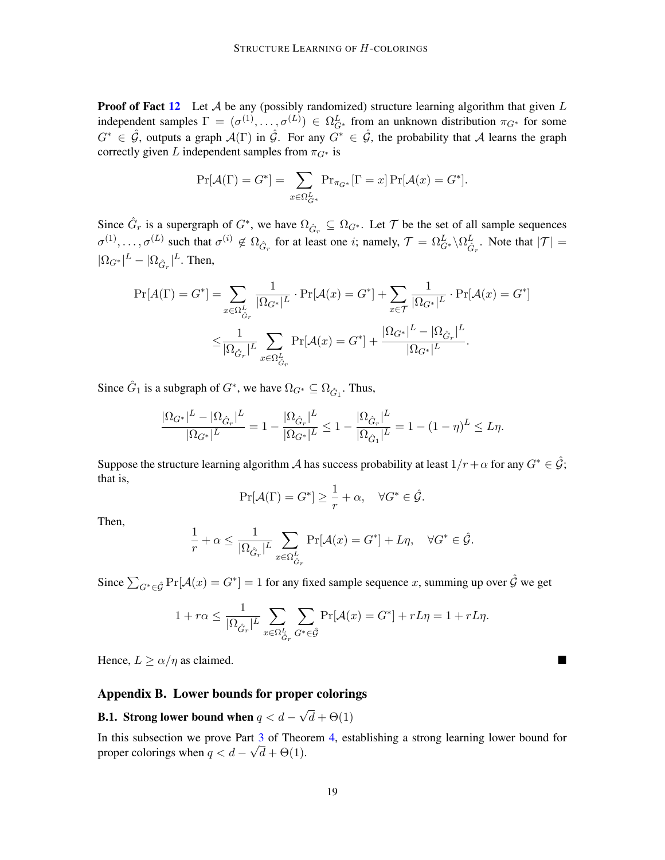**Proof of Fact [12](#page-7-1)** Let A be any (possibly randomized) structure learning algorithm that given  $L$ independent samples  $\Gamma = (\sigma^{(1)}, \ldots, \sigma^{(L)}) \in \Omega_{G^*}^L$  from an unknown distribution  $\pi_{G^*}$  for some  $G^* \in \hat{\mathcal{G}}$ , outputs a graph  $\mathcal{A}(\Gamma)$  in  $\hat{\mathcal{G}}$ . For any  $G^* \in \hat{\mathcal{G}}$ , the probability that A learns the graph correctly given L independent samples from  $\pi_{G^*}$  is

$$
\Pr[\mathcal{A}(\Gamma) = G^*] = \sum_{x \in \Omega_{G^*}^L} \Pr_{\pi_{G^*}}[\Gamma = x] \Pr[\mathcal{A}(x) = G^*].
$$

Since  $\hat{G}_r$  is a supergraph of  $G^*$ , we have  $\Omega_{\hat{G}_r} \subseteq \Omega_{G^*}$ . Let  $\mathcal T$  be the set of all sample sequences  $\sigma^{(1)}, \ldots, \sigma^{(L)}$  such that  $\sigma^{(i)} \notin \Omega_{\hat{G}_r}$  for at least one *i*; namely,  $\mathcal{T} = \Omega_{G^*}^L \backslash \Omega_{\hat{G}_r}^L$ . Note that  $|\mathcal{T}| =$  $|\Omega_{G^*}|^L - |\Omega_{\hat{G}_r}|^L$ . Then,

$$
\Pr[A(\Gamma) = G^*] = \sum_{x \in \Omega_{\hat{G}_r}^L} \frac{1}{|\Omega_{G^*}|^L} \cdot \Pr[\mathcal{A}(x) = G^*] + \sum_{x \in \mathcal{T}} \frac{1}{|\Omega_{G^*}|^L} \cdot \Pr[\mathcal{A}(x) = G^*]
$$

$$
\leq \frac{1}{|\Omega_{\hat{G}_r}|^L} \sum_{x \in \Omega_{\hat{G}_r}^L} \Pr[\mathcal{A}(x) = G^*] + \frac{|\Omega_{G^*}|^L - |\Omega_{\hat{G}_r}|^L}{|\Omega_{G^*}|^L}.
$$

Since  $\hat{G}_1$  is a subgraph of  $G^*$ , we have  $\Omega_{G^*} \subseteq \Omega_{\hat{G}_1}$ . Thus,

$$
\frac{|\Omega_{G^*}|^L - |\Omega_{\hat{G}_r}|^L}{|\Omega_{G^*}|^L} = 1 - \frac{|\Omega_{\hat{G}_r}|^L}{|\Omega_{G^*}|^L} \le 1 - \frac{|\Omega_{\hat{G}_r}|^L}{|\Omega_{\hat{G}_1}|^L} = 1 - (1 - \eta)^L \le L\eta.
$$

Suppose the structure learning algorithm A has success probability at least  $1/r + \alpha$  for any  $G^* \in \hat{\mathcal{G}}$ ; that is,

$$
\Pr[\mathcal{A}(\Gamma) = G^*] \ge \frac{1}{r} + \alpha, \quad \forall G^* \in \hat{\mathcal{G}}.
$$

Then,

$$
\frac{1}{r} + \alpha \le \frac{1}{|\Omega_{\hat{G}_r}|^L} \sum_{x \in \Omega_{\hat{G}_r}^L} \Pr[\mathcal{A}(x) = G^*] + L\eta, \quad \forall G^* \in \hat{\mathcal{G}}.
$$

Since  $\sum_{G^* \in \hat{\mathcal{G}}} \Pr[\mathcal{A}(x) = G^*] = 1$  for any fixed sample sequence x, summing up over  $\hat{\mathcal{G}}$  we get

$$
1+r\alpha\leq \frac{1}{|\Omega_{\hat{G}_r}|^L}\sum_{x\in \Omega^L_{\hat{G}_r}}\sum_{G^*\in \hat{\mathcal{G}}}\Pr[\mathcal{A}(x)=G^*]+rL\eta=1+rL\eta.
$$

Hence,  $L \ge \alpha/\eta$  as claimed.

## Appendix B. Lower bounds for proper colorings

<span id="page-18-0"></span>**B.1.** Strong lower bound when  $q < d$  – √  $d + \Theta(1)$ 

In this subsection we prove Part  $\frac{3}{6}$  $\frac{3}{6}$  $\frac{3}{6}$  of Theorem [4,](#page-4-1) establishing a strong learning lower bound for proper colorings when  $q < d - \sqrt{d + \Theta(1)}$ .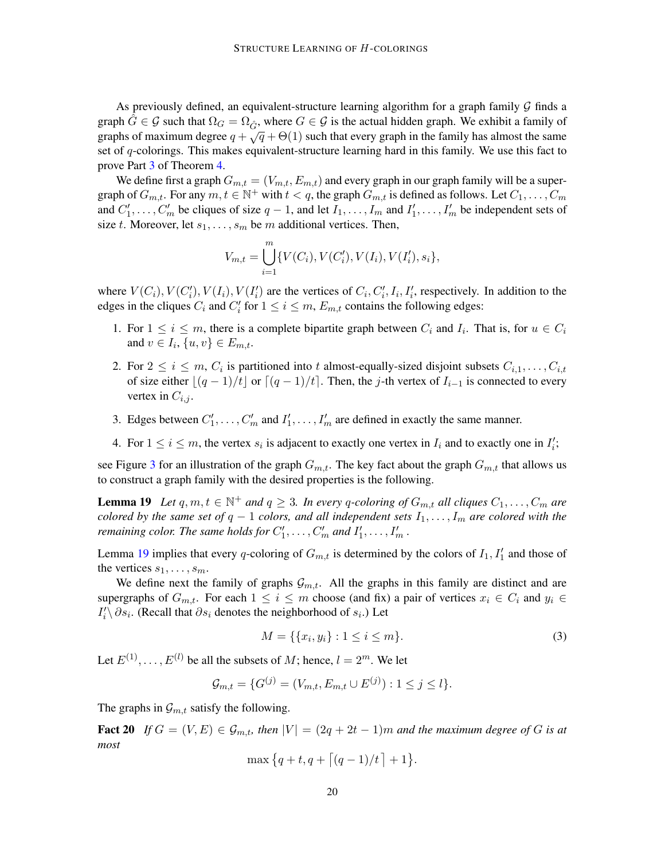As previously defined, an equivalent-structure learning algorithm for a graph family  $\mathcal G$  finds a graph  $G \in \mathcal{G}$  such that  $\Omega_G = \Omega_{\hat{G}}$ , where  $G \in \mathcal{G}$  is the actual hidden graph. We exhibit a family of graph  $\sigma \subset g$  such that  $\mathfrak{so}_G = \mathfrak{so}_G$ , where  $\sigma \subset g$  is the actual model graph. We cannot a family of graphs of maximum degree  $q + \sqrt{q} + \Theta(1)$  such that every graph in the family has almost the same set of q-colorings. This makes equivalent-structure learning hard in this family. We use this fact to prove Part [3](#page-4-0) of Theorem [4.](#page-4-1)

We define first a graph  $G_{m,t} = (V_{m,t}, E_{m,t})$  and every graph in our graph family will be a supergraph of  $G_{m,t}$ . For any  $m, t \in \mathbb{N}^+$  with  $t < q$ , the graph  $G_{m,t}$  is defined as follows. Let  $C_1, \ldots, C_m$ and  $C'_1, \ldots, C'_m$  be cliques of size  $q-1$ , and let  $I_1, \ldots, I_m$  and  $I'_1, \ldots, I'_m$  be independent sets of size t. Moreover, let  $s_1, \ldots, s_m$  be m additional vertices. Then,

$$
V_{m,t} = \bigcup_{i=1}^{m} \{ V(C_i), V(C'_i), V(I_i), V(I'_i), s_i \},\
$$

where  $V(C_i)$ ,  $V(C'_i)$ ,  $V(I_i)$ ,  $V(I'_i)$  are the vertices of  $C_i$ ,  $C'_i$ ,  $I_i$ ,  $I'_i$ , respectively. In addition to the edges in the cliques  $C_i$  and  $C'_i$  for  $1 \leq i \leq m$ ,  $E_{m,t}$  contains the following edges:

- 1. For  $1 \leq i \leq m$ , there is a complete bipartite graph between  $C_i$  and  $I_i$ . That is, for  $u \in C_i$ and  $v \in I_i$ ,  $\{u, v\} \in E_{m,t}$ .
- 2. For  $2 \le i \le m$ ,  $C_i$  is partitioned into t almost-equally-sized disjoint subsets  $C_{i,1}, \ldots, C_{i,t}$ of size either  $|(q - 1)/t|$  or  $|(q - 1)/t|$ . Then, the j-th vertex of  $I_{i-1}$  is connected to every vertex in  $C_{i,j}$ .
- 3. Edges between  $C'_1, \ldots, C'_m$  and  $I'_1, \ldots, I'_m$  are defined in exactly the same manner.
- 4. For  $1 \le i \le m$ , the vertex  $s_i$  is adjacent to exactly one vertex in  $I_i$  and to exactly one in  $I'_i$ ;

see Figure [3](#page-20-0) for an illustration of the graph  $G_{m,t}$ . The key fact about the graph  $G_{m,t}$  that allows us to construct a graph family with the desired properties is the following.

**Lemma 19** Let  $q, m, t \in \mathbb{N}^+$  and  $q \geq 3$ . In every q-coloring of  $G_{m,t}$  all cliques  $C_1, \ldots, C_m$  are *colored by the same set of*  $q - 1$  *colors, and all independent sets*  $I_1, \ldots, I_m$  *are colored with the remaining color. The same holds for*  $C'_1, \ldots, C'_m$  *and*  $I'_1, \ldots, I'_m$ .

Lemma [19](#page-19-0) implies that every q-coloring of  $G_{m,t}$  is determined by the colors of  $I_1, I'_1$  and those of the vertices  $s_1, \ldots, s_m$ .

We define next the family of graphs  $\mathcal{G}_{m,t}$ . All the graphs in this family are distinct and are supergraphs of  $G_{m,t}$ . For each  $1 \leq i \leq m$  choose (and fix) a pair of vertices  $x_i \in C_i$  and  $y_i \in$  $I'_i \setminus \partial s_i$ . (Recall that  $\partial s_i$  denotes the neighborhood of  $s_i$ .) Let

<span id="page-19-2"></span><span id="page-19-1"></span><span id="page-19-0"></span>
$$
M = \{ \{x_i, y_i\} : 1 \le i \le m \}.
$$
\n(3)

Let  $E^{(1)}$ , ...,  $E^{(l)}$  be all the subsets of M; hence,  $l = 2^m$ . We let

$$
\mathcal{G}_{m,t} = \{G^{(j)} = (V_{m,t}, E_{m,t} \cup E^{(j)}): 1 \le j \le l\}.
$$

The graphs in  $\mathcal{G}_{m,t}$  satisfy the following.

Fact 20 *If*  $G = (V, E) \in \mathcal{G}_{m,t}$ , then  $|V| = (2q + 2t - 1)m$  and the maximum degree of G is at *most*

$$
\max\big\{q+t,q+\big\lceil (q-1)/t\big\rceil+1\big\}.
$$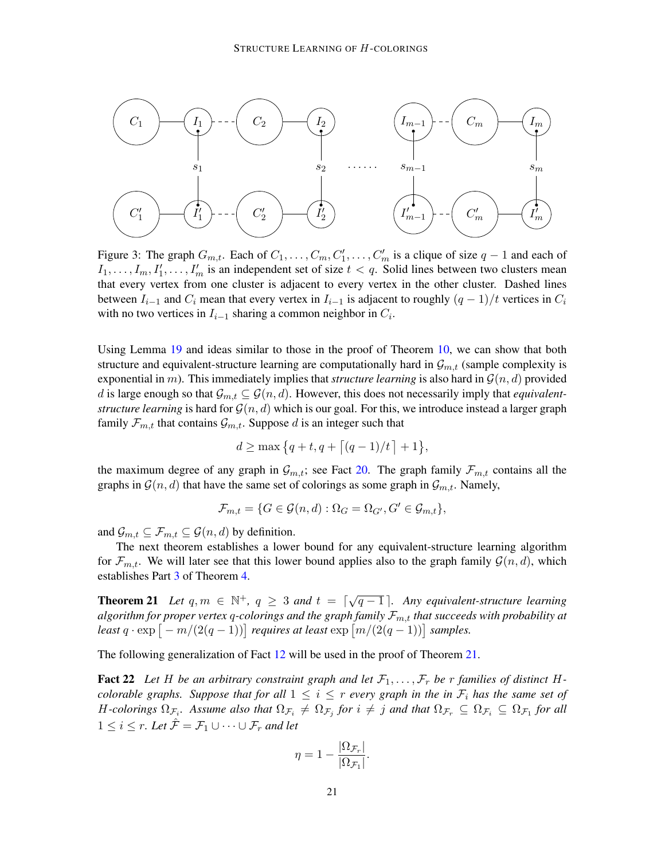<span id="page-20-0"></span>

Figure 3: The graph  $G_{m,t}$ . Each of  $C_1, \ldots, C_m, C'_1, \ldots, C'_m$  is a clique of size  $q-1$  and each of  $I_1, \ldots, I_m, I'_1, \ldots, I'_m$  is an independent set of size  $t < q$ . Solid lines between two clusters mean that every vertex from one cluster is adjacent to every vertex in the other cluster. Dashed lines between  $I_{i-1}$  and  $C_i$  mean that every vertex in  $I_{i-1}$  is adjacent to roughly  $(q - 1)/t$  vertices in  $C_i$ with no two vertices in  $I_{i-1}$  sharing a common neighbor in  $C_i$ .

Using Lemma [19](#page-19-0) and ideas similar to those in the proof of Theorem [10,](#page-7-2) we can show that both structure and equivalent-structure learning are computationally hard in  $\mathcal{G}_{m,t}$  (sample complexity is exponential in m). This immediately implies that *structure learning* is also hard in  $\mathcal{G}(n, d)$  provided d is large enough so that  $\mathcal{G}_{m,t} \subseteq \mathcal{G}(n,d)$ . However, this does not necessarily imply that *equivalentstructure learning* is hard for  $\mathcal{G}(n, d)$  which is our goal. For this, we introduce instead a larger graph family  $\mathcal{F}_{m,t}$  that contains  $\mathcal{G}_{m,t}$ . Suppose d is an integer such that

$$
d \ge \max\{q+t, q+\lceil (q-1)/t \rceil + 1\},\
$$

the maximum degree of any graph in  $\mathcal{G}_{m,t}$ ; see Fact [20.](#page-19-1) The graph family  $\mathcal{F}_{m,t}$  contains all the graphs in  $\mathcal{G}(n, d)$  that have the same set of colorings as some graph in  $\mathcal{G}_{m,t}$ . Namely,

$$
\mathcal{F}_{m,t} = \{ G \in \mathcal{G}(n,d) : \Omega_G = \Omega_{G'}, G' \in \mathcal{G}_{m,t} \},
$$

and  $\mathcal{G}_{m,t} \subseteq \mathcal{F}_{m,t} \subseteq \mathcal{G}(n,d)$  by definition.

The next theorem establishes a lower bound for any equivalent-structure learning algorithm for  $\mathcal{F}_{m,t}$ . We will later see that this lower bound applies also to the graph family  $\mathcal{G}(n,d)$ , which establishes Part [3](#page-4-0) of Theorem [4.](#page-4-1)

<span id="page-20-1"></span>**Theorem 21** Let  $q, m \in \mathbb{N}^+$ ,  $q \geq 3$  and  $t = \lceil \sqrt{q-1} \rceil$ . Any equivalent-structure learning algorithm for proper vertex q-colorings and the graph family  $\mathcal{F}_{m,t}$  that succeeds with probability at least  $q \cdot \exp[-m/(2(q-1))]$  requires at least  $\exp[m/(2(q-1))]$  samples.

<span id="page-20-2"></span>The following generalization of Fact [12](#page-7-1) will be used in the proof of Theorem [21.](#page-20-1)

**Fact 22** Let H be an arbitrary constraint graph and let  $\mathcal{F}_1, \ldots, \mathcal{F}_r$  be r families of distinct H*colorable graphs. Suppose that for all*  $1 \leq i \leq r$  *every graph in the in*  $\mathcal{F}_i$  *has the same set of H*-colorings  $\Omega_{\mathcal{F}_i}$ . Assume also that  $\Omega_{\mathcal{F}_i} \neq \Omega_{\mathcal{F}_j}$  for  $i \neq j$  and that  $\Omega_{\mathcal{F}_r} \subseteq \Omega_{\mathcal{F}_i} \subseteq \Omega_{\mathcal{F}_1}$  for all  $1 \leq i \leq r$ . Let  $\mathcal{F} = \mathcal{F}_1 \cup \cdots \cup \mathcal{F}_r$  and let

$$
\eta = 1 - \frac{|\Omega_{\mathcal{F}_r}|}{|\Omega_{\mathcal{F}_1}|}.
$$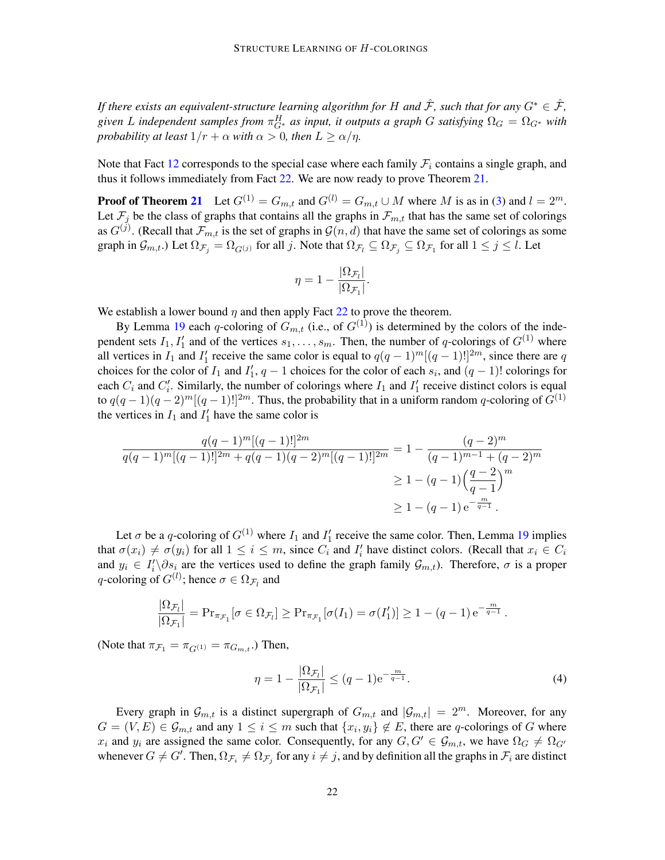*If there exists an equivalent-structure learning algorithm for* H *and*  $\hat{\mathcal{F}}$ *, such that for any*  $G^* \in \hat{\mathcal{F}}$ *,* given L independent samples from  $\pi_{G^*}^H$  as input, it outputs a graph G satisfying  $\Omega_G = \Omega_{G^*}$  with *probability at least*  $1/r + \alpha$  *with*  $\alpha > 0$ *, then*  $L \ge \alpha/n$ *.* 

Note that Fact [12](#page-7-1) corresponds to the special case where each family  $\mathcal{F}_i$  contains a single graph, and thus it follows immediately from Fact [22.](#page-20-2) We are now ready to prove Theorem [21.](#page-20-1)

**Proof of Theorem [21](#page-20-1)** Let  $G^{(1)} = G_{m,t}$  and  $G^{(l)} = G_{m,t} \cup M$  where M is as in [\(3\)](#page-19-2) and  $l = 2^m$ . Let  $\mathcal{F}_i$  be the class of graphs that contains all the graphs in  $\mathcal{F}_{m,t}$  that has the same set of colorings as  $G^{(j)}$ . (Recall that  $\mathcal{F}_{m,t}$  is the set of graphs in  $\mathcal{G}(n,d)$  that have the same set of colorings as some graph in  $\mathcal{G}_{m,t}$ .) Let  $\Omega_{\mathcal{F}_j} = \Omega_{G^{(j)}}$  for all j. Note that  $\Omega_{\mathcal{F}_l} \subseteq \Omega_{\mathcal{F}_j} \subseteq \Omega_{\mathcal{F}_1}$  for all  $1 \le j \le l$ . Let

$$
\eta = 1 - \frac{|\Omega_{\mathcal{F}_l}|}{|\Omega_{\mathcal{F}_1}|}.
$$

We establish a lower bound  $\eta$  and then apply Fact [22](#page-20-2) to prove the theorem.

By Lemma [19](#page-19-0) each q-coloring of  $G_{m,t}$  (i.e., of  $G^{(1)}$ ) is determined by the colors of the independent sets  $I_1, I'_1$  and of the vertices  $s_1, \ldots, s_m$ . Then, the number of q-colorings of  $G^{(1)}$  where all vertices in  $I_1$  and  $I'_1$  receive the same color is equal to  $q(q-1)^m[(q-1)!]^{2m}$ , since there are q choices for the color of  $I_1$  and  $I'_1$ ,  $q-1$  choices for the color of each  $s_i$ , and  $(q-1)!$  colorings for each  $C_i$  and  $C'_i$ . Similarly, the number of colorings where  $I_1$  and  $I'_1$  receive distinct colors is equal to  $q(q-1)(q-2)^m[(q-1)!]^{2m}$ . Thus, the probability that in a uniform random q-coloring of  $G^{(1)}$ the vertices in  $I_1$  and  $I'_1$  have the same color is

$$
\frac{q(q-1)^m[(q-1)!]^{2m}}{q(q-1)^m[(q-1)!]^{2m} + q(q-1)(q-2)^m[(q-1)!]^{2m}} = 1 - \frac{(q-2)^m}{(q-1)^{m-1} + (q-2)^m}
$$

$$
\geq 1 - (q-1)\left(\frac{q-2}{q-1}\right)^m
$$

$$
\geq 1 - (q-1)e^{-\frac{m}{q-1}}.
$$

Let  $\sigma$  be a q-coloring of  $G^{(1)}$  where  $I_1$  and  $I'_1$  receive the same color. Then, Lemma [19](#page-19-0) implies that  $\sigma(x_i) \neq \sigma(y_i)$  for all  $1 \leq i \leq m$ , since  $C_i$  and  $I'_i$  have distinct colors. (Recall that  $x_i \in C_i$ and  $y_i \in I'_i \setminus \partial s_i$  are the vertices used to define the graph family  $\mathcal{G}_{m,t}$ ). Therefore,  $\sigma$  is a proper q-coloring of  $G^{(l)}$ ; hence  $\sigma \in \Omega_{\mathcal{F}_l}$  and

$$
\frac{|\Omega_{\mathcal{F}_l}|}{|\Omega_{\mathcal{F}_1}|} = \mathrm{Pr}_{\pi_{\mathcal{F}_1}}[\sigma \in \Omega_{\mathcal{F}_l}] \ge \mathrm{Pr}_{\pi_{\mathcal{F}_1}}[\sigma(I_1) = \sigma(I'_1)] \ge 1 - (q-1) e^{-\frac{m}{q-1}}.
$$

(Note that  $\pi_{\mathcal{F}_1} = \pi_{G(1)} = \pi_{G_{m,t}}$ .) Then,

$$
\eta = 1 - \frac{|\Omega_{\mathcal{F}_l}|}{|\Omega_{\mathcal{F}_1}|} \le (q-1)e^{-\frac{m}{q-1}}.
$$
\n(4)

Every graph in  $\mathcal{G}_{m,t}$  is a distinct supergraph of  $G_{m,t}$  and  $|\mathcal{G}_{m,t}| = 2^m$ . Moreover, for any  $G = (V, E) \in \mathcal{G}_{m,t}$  and any  $1 \leq i \leq m$  such that  $\{x_i, y_i\} \notin E$ , there are q-colorings of G where  $x_i$  and  $y_i$  are assigned the same color. Consequently, for any  $G, G' \in \mathcal{G}_{m,t}$ , we have  $\Omega_G \neq \Omega_{G'}$ whenever  $G \neq G'$ . Then,  $\Omega_{\mathcal{F}_i} \neq \Omega_{\mathcal{F}_j}$  for any  $i \neq j$ , and by definition all the graphs in  $\mathcal{F}_i$  are distinct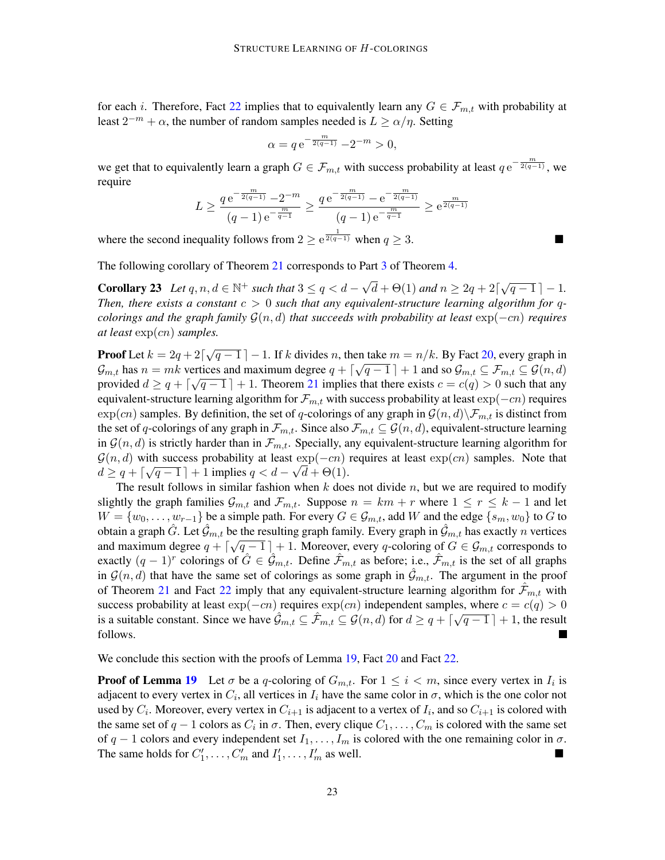for each i. Therefore, Fact [22](#page-20-2) implies that to equivalently learn any  $G \in \mathcal{F}_{m,t}$  with probability at least  $2^{-m} + \alpha$ , the number of random samples needed is  $L \ge \alpha/\eta$ . Setting

$$
\alpha = q e^{-\frac{m}{2(q-1)}} - 2^{-m} > 0,
$$

we get that to equivalently learn a graph  $G \in \mathcal{F}_{m,t}$  with success probability at least  $q e^{-\frac{m}{2(q-1)}}$ , we require

$$
L \ge \frac{q \,\mathrm{e}^{-\frac{m}{2(q-1)}} - 2^{-m}}{(q-1) \,\mathrm{e}^{-\frac{m}{q-1}}} \ge \frac{q \,\mathrm{e}^{-\frac{m}{2(q-1)}} - \mathrm{e}^{-\frac{m}{2(q-1)}}}{(q-1) \,\mathrm{e}^{-\frac{m}{q-1}}} \ge \mathrm{e}^{\frac{m}{2(q-1)}}
$$

where the second inequality follows from  $2 \ge e^{\frac{1}{2(q-1)}}$  when  $q \ge 3$ .

The following corollary of Theorem [21](#page-20-1) corresponds to Part [3](#page-4-0) of Theorem [4.](#page-4-1)

<span id="page-22-0"></span>**Corollary 23** *Let*  $q, n, d \in \mathbb{N}^+$  *such that*  $3 \leq q < d - \sqrt{2}$  $\overline{d} + \Theta(1)$  and  $n \geq 2q + 2\lceil \sqrt{q-1} \rceil - 1$ . *Then, there exists a constant*  $c > 0$  *such that any equivalent-structure learning algorithm for qcolorings and the graph family* G(n, d) *that succeeds with probability at least* exp(−cn) *requires at least* exp(cn) *samples.*

**Proof** Let  $k = 2q + 2[\sqrt{q-1}] - 1$ . If k divides n, then take  $m = n/k$ . By Fact [20,](#page-19-1) every graph in  $\mathcal{G}_{m,t}$  has  $n = mk$  vertices and maximum degree  $q + \lceil \sqrt{q-1} \rceil + 1$  and so  $\mathcal{G}_{m,t} \subseteq \mathcal{F}_{m,t} \subseteq \mathcal{G}(n,d)$ provided  $d \geq q + \lceil \sqrt{q-1} \rceil + 1$ . Theorem [21](#page-20-1) implies that there exists  $c = c(q) > 0$  such that any equivalent-structure learning algorithm for  $\mathcal{F}_{m,t}$  with success probability at least  $\exp(-cn)$  requires  $\exp(cn)$  samples. By definition, the set of q-colorings of any graph in  $\mathcal{G}(n,d)\backslash\mathcal{F}_{m,t}$  is distinct from the set of q-colorings of any graph in  $\mathcal{F}_{m,t}$ . Since also  $\mathcal{F}_{m,t} \subseteq \mathcal{G}(n,d)$ , equivalent-structure learning in  $\mathcal{G}(n, d)$  is strictly harder than in  $\mathcal{F}_{m,t}$ . Specially, any equivalent-structure learning algorithm for  $\mathcal{G}(n, d)$  with success probability at least exp( $-cn$ ) requires at least exp( $cn$ ) samples. Note that  $d \geq q + \lceil \sqrt{q-1} \rceil + 1$  implies  $q < d - \sqrt{d} + \Theta(1)$ .

The result follows in similar fashion when  $k$  does not divide  $n$ , but we are required to modify slightly the graph families  $\mathcal{G}_{m,t}$  and  $\mathcal{F}_{m,t}$ . Suppose  $n = km + r$  where  $1 \leq r \leq k - 1$  and let  $W = \{w_0, \ldots, w_{r-1}\}\$ be a simple path. For every  $G \in \mathcal{G}_{m,t}$ , add W and the edge  $\{s_m, w_0\}$  to G to obtain a graph  $\hat{G}$ . Let  $\hat{G}_{m,t}$  be the resulting graph family. Every graph in  $\hat{G}_{m,t}$  has exactly *n* vertices and maximum degree  $q + \lceil \sqrt{q-1} \rceil + 1$ . Moreover, every q-coloring of  $G \in \mathcal{G}_{m,t}$  corresponds to exactly  $(q-1)^r$  colorings of  $\hat{G} \in \hat{\mathcal{G}}_{m,t}$ . Define  $\hat{\mathcal{F}}_{m,t}$  as before; i.e.,  $\hat{\mathcal{F}}_{m,t}$  is the set of all graphs in  $\mathcal{G}(n, d)$  that have the same set of colorings as some graph in  $\mathcal{G}_{m,t}$ . The argument in the proof of Theorem [21](#page-20-1) and Fact [22](#page-20-2) imply that any equivalent-structure learning algorithm for  $\mathcal{F}_{m,t}$  with success probability at least  $\exp(-cn)$  requires  $\exp(cn)$  independent samples, where  $c = c(q) > 0$ is a suitable constant. Since we have  $\hat{\mathcal{G}}_{m,t} \subseteq \hat{\mathcal{F}}_{m,t} \subseteq \mathcal{G}(n,d)$  for  $d \geq q + \lceil \sqrt{q-1} \rceil + 1$ , the result follows. I.

We conclude this section with the proofs of Lemma [19,](#page-19-0) Fact [20](#page-19-1) and Fact [22.](#page-20-2)

**Proof of Lemma [19](#page-19-0)** Let  $\sigma$  be a q-coloring of  $G_{m,t}$ . For  $1 \leq i \leq m$ , since every vertex in  $I_i$  is adjacent to every vertex in  $C_i$ , all vertices in  $I_i$  have the same color in  $\sigma$ , which is the one color not used by  $C_i$ . Moreover, every vertex in  $C_{i+1}$  is adjacent to a vertex of  $I_i$ , and so  $C_{i+1}$  is colored with the same set of  $q-1$  colors as  $C_i$  in  $\sigma$ . Then, every clique  $C_1, \ldots, C_m$  is colored with the same set of  $q-1$  colors and every independent set  $I_1, \ldots, I_m$  is colored with the one remaining color in  $\sigma$ . The same holds for  $C'_1, \ldots, C'_m$  and  $I'_1, \ldots, I'_m$  as well.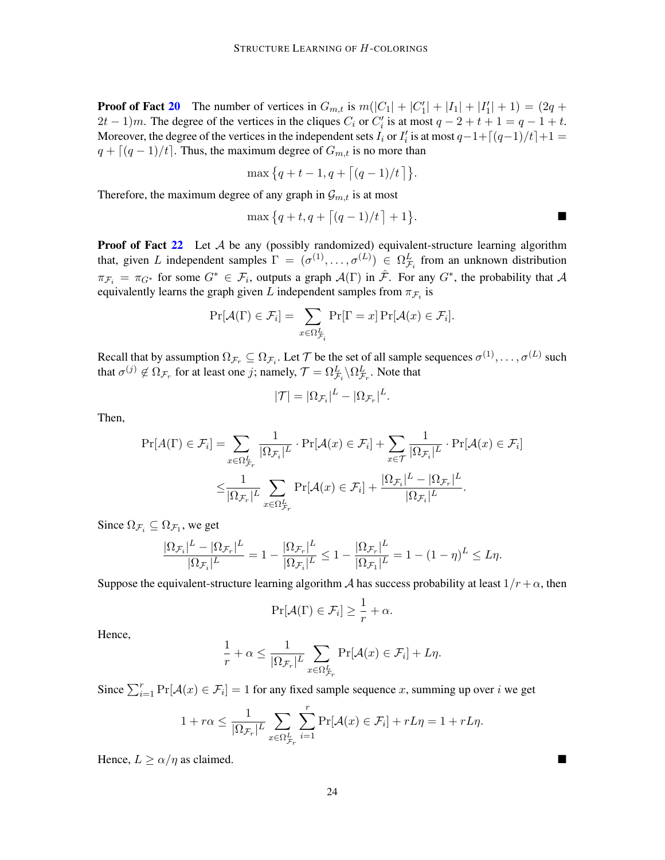**Proof of Fact [20](#page-19-1)** The number of vertices in  $G_{m,t}$  is  $m(|C_1| + |C'_1| + |I_1| + |I'_1| + 1) = (2q +$  $2t-1$ )m. The degree of the vertices in the cliques  $C_i$  or  $C'_i$  is at most  $q-2+t+1=q-1+t$ . Moreover, the degree of the vertices in the independent sets  $I_i$  or  $I'_i$  is at most  $q-1+\lceil(q-1)/t\rceil+1=$  $q + \lfloor (q - 1)/t \rfloor$ . Thus, the maximum degree of  $G_{m,t}$  is no more than

$$
\max\{q+t-1,q+\lceil (q-1)/t \rceil\}.
$$

Therefore, the maximum degree of any graph in  $\mathcal{G}_{m,t}$  is at most

$$
\max\big\{q+t, q+\big\lceil (q-1)/t\big\rceil +1\big\}.
$$

**Proof of Fact [22](#page-20-2)** Let  $\mathcal A$  be any (possibly randomized) equivalent-structure learning algorithm that, given L independent samples  $\Gamma = (\sigma^{(1)}, \dots, \sigma^{(L)}) \in \Omega^L_{\mathcal{F}_i}$  from an unknown distribution  $\pi_{\mathcal{F}_i} = \pi_{G^*}$  for some  $G^* \in \mathcal{F}_i$ , outputs a graph  $\mathcal{A}(\Gamma)$  in  $\hat{\mathcal{F}}$ . For any  $G^*$ , the probability that  $\mathcal{A}$ equivalently learns the graph given L independent samples from  $\pi_{\mathcal{F}_i}$  is

$$
\Pr[\mathcal{A}(\Gamma) \in \mathcal{F}_i] = \sum_{x \in \Omega_{\mathcal{F}_i}^L} \Pr[\Gamma = x] \Pr[\mathcal{A}(x) \in \mathcal{F}_i].
$$

Recall that by assumption  $\Omega_{\mathcal{F}_r} \subseteq \Omega_{\mathcal{F}_i}$ . Let  $\mathcal T$  be the set of all sample sequences  $\sigma^{(1)},\ldots,\sigma^{(L)}$  such that  $\sigma^{(j)}\not\in\Omega_{\mathcal{F}_r}$  for at least one  $j;$  namely,  $\mathcal{T}=\Omega^L_{\mathcal{F}_i}\backslash\Omega^L_{\mathcal{F}_r}.$  Note that

$$
|\mathcal{T}| = |\Omega_{\mathcal{F}_i}|^L - |\Omega_{\mathcal{F}_r}|^L.
$$

Then,

$$
\Pr[A(\Gamma) \in \mathcal{F}_i] = \sum_{x \in \Omega_{\mathcal{F}_r}^L} \frac{1}{|\Omega_{\mathcal{F}_i}|^L} \cdot \Pr[\mathcal{A}(x) \in \mathcal{F}_i] + \sum_{x \in \mathcal{T}} \frac{1}{|\Omega_{\mathcal{F}_i}|^L} \cdot \Pr[\mathcal{A}(x) \in \mathcal{F}_i]
$$

$$
\leq \frac{1}{|\Omega_{\mathcal{F}_r}|^L} \sum_{x \in \Omega_{\mathcal{F}_r}^L} \Pr[\mathcal{A}(x) \in \mathcal{F}_i] + \frac{|\Omega_{\mathcal{F}_i}|^L - |\Omega_{\mathcal{F}_r}|^L}{|\Omega_{\mathcal{F}_i}|^L}.
$$

Since  $\Omega_{\mathcal{F}_i} \subseteq \Omega_{\mathcal{F}_1}$ , we get

$$
\frac{|\Omega_{\mathcal{F}_i}|^L - |\Omega_{\mathcal{F}_r}|^L}{|\Omega_{\mathcal{F}_i}|^L} = 1 - \frac{|\Omega_{\mathcal{F}_r}|^L}{|\Omega_{\mathcal{F}_i}|^L} \le 1 - \frac{|\Omega_{\mathcal{F}_r}|^L}{|\Omega_{\mathcal{F}_i}|^L} = 1 - (1 - \eta)^L \le L\eta.
$$

Suppose the equivalent-structure learning algorithm A has success probability at least  $1/r+\alpha$ , then

$$
\Pr[\mathcal{A}(\Gamma) \in \mathcal{F}_i] \ge \frac{1}{r} + \alpha.
$$

Hence,

$$
\frac{1}{r} + \alpha \le \frac{1}{|\Omega_{\mathcal{F}_r}|^L} \sum_{x \in \Omega_{\mathcal{F}_r}^L} \Pr[\mathcal{A}(x) \in \mathcal{F}_i] + L\eta.
$$

Since  $\sum_{i=1}^r \Pr[\mathcal{A}(x) \in \mathcal{F}_i] = 1$  for any fixed sample sequence x, summing up over i we get

$$
1 + r\alpha \leq \frac{1}{|\Omega_{\mathcal{F}_r}|^L} \sum_{x \in \Omega_{\mathcal{F}_r}^L} \sum_{i=1}^r \Pr[\mathcal{A}(x) \in \mathcal{F}_i] + rL\eta = 1 + rL\eta.
$$

Hence,  $L > \alpha/\eta$  as claimed.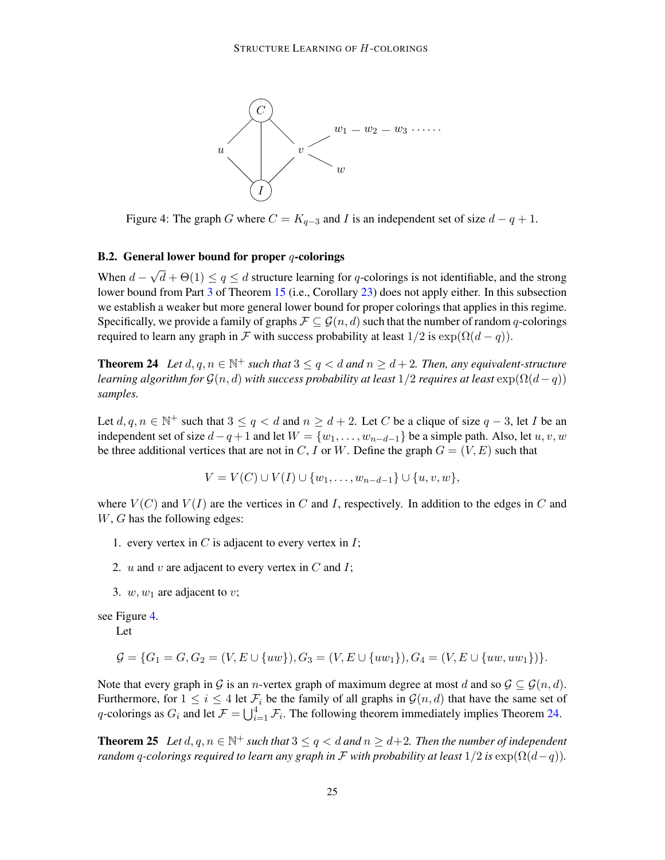<span id="page-24-0"></span>

Figure 4: The graph G where  $C = K_{q-3}$  and I is an independent set of size  $d - q + 1$ .

### B.2. General lower bound for proper  $q$ -colorings

When  $d-$ √  $d + \Theta(1) \leq q \leq d$  structure learning for q-colorings is not identifiable, and the strong lower bound from Part [3](#page-4-0) of Theorem [15](#page-11-2) (i.e., Corollary [23\)](#page-22-0) does not apply either. In this subsection we establish a weaker but more general lower bound for proper colorings that applies in this regime. Specifically, we provide a family of graphs  $\mathcal{F} \subseteq \mathcal{G}(n, d)$  such that the number of random q-colorings required to learn any graph in F with success probability at least  $1/2$  is  $\exp(\Omega(d-q))$ .

<span id="page-24-1"></span>**Theorem 24** Let  $d, q, n \in \mathbb{N}^+$  such that  $3 \leq q < d$  and  $n \geq d+2$ . Then, any equivalent-structure *learning algorithm for*  $\mathcal{G}(n, d)$  *with success probability at least*  $1/2$  *requires at least*  $\exp(\Omega(d-q))$ *samples.*

Let  $d, q, n \in \mathbb{N}^+$  such that  $3 \le q < d$  and  $n \ge d+2$ . Let C be a clique of size  $q-3$ , let I be an independent set of size  $d-q+1$  and let  $W = \{w_1, \ldots, w_{n-d-1}\}$  be a simple path. Also, let  $u, v, w$ be three additional vertices that are not in C, I or W. Define the graph  $G = (V, E)$  such that

$$
V = V(C) \cup V(I) \cup \{w_1, \ldots, w_{n-d-1}\} \cup \{u, v, w\},\
$$

where  $V(C)$  and  $V(I)$  are the vertices in C and I, respectively. In addition to the edges in C and W, G has the following edges:

- 1. every vertex in  $C$  is adjacent to every vertex in  $I$ ;
- 2.  $u$  and  $v$  are adjacent to every vertex in  $C$  and  $I$ ;
- 3.  $w, w_1$  are adjacent to v;

see Figure [4.](#page-24-0)

Let

$$
\mathcal{G} = \{G_1 = G, G_2 = (V, E \cup \{uw\}), G_3 = (V, E \cup \{uw_1\}), G_4 = (V, E \cup \{uw, uw_1\})\}.
$$

Note that every graph in G is an n-vertex graph of maximum degree at most d and so  $\mathcal{G} \subset \mathcal{G}(n,d)$ . Furthermore, for  $1 \le i \le 4$  let  $\mathcal{F}_i$  be the family of all graphs in  $\mathcal{G}(n, d)$  that have the same set of q-colorings as  $G_i$  and let  $\mathcal{F} = \bigcup_{i=1}^4 \mathcal{F}_i$ . The following theorem immediately implies Theorem [24.](#page-24-1)

<span id="page-24-2"></span>**Theorem 25** Let  $d, q, n \in \mathbb{N}^+$  such that  $3 \leq q < d$  and  $n \geq d+2$ . Then the number of independent *random* q-colorings required to learn any graph in  $\mathcal F$  with probability at least  $1/2$  is  $\exp(\Omega(d-q))$ .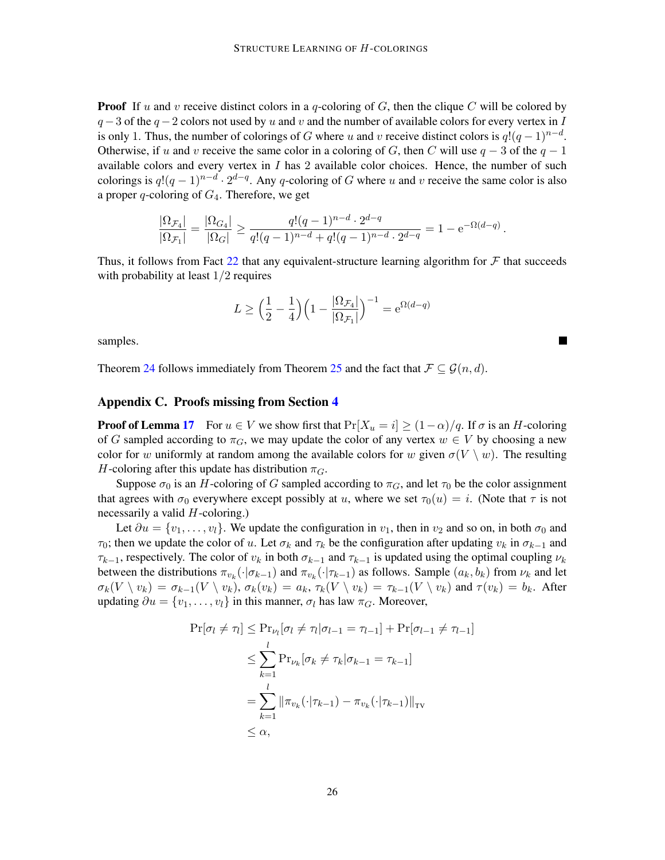**Proof** If u and v receive distinct colors in a q-coloring of G, then the clique C will be colored by  $q-3$  of the  $q-2$  colors not used by u and v and the number of available colors for every vertex in I is only 1. Thus, the number of colorings of G where u and v receive distinct colors is  $q!(q-1)^{n-d}$ . Otherwise, if u and v receive the same color in a coloring of G, then C will use  $q - 3$  of the  $q - 1$ available colors and every vertex in I has 2 available color choices. Hence, the number of such colorings is  $q!(q-1)^{n-d} \cdot 2^{d-q}$ . Any q-coloring of G where u and v receive the same color is also a proper q-coloring of  $G_4$ . Therefore, we get

$$
\frac{|\Omega_{\mathcal{F}_4}|}{|\Omega_{\mathcal{F}_1}|} = \frac{|\Omega_{G_4}|}{|\Omega_G|} \ge \frac{q!(q-1)^{n-d}\cdot 2^{d-q}}{q!(q-1)^{n-d} + q!(q-1)^{n-d}\cdot 2^{d-q}} = 1 - e^{-\Omega(d-q)}.
$$

Thus, it follows from Fact [22](#page-20-2) that any equivalent-structure learning algorithm for  $\mathcal F$  that succeeds with probability at least  $1/2$  requires

$$
L \ge \left(\frac{1}{2} - \frac{1}{4}\right) \left(1 - \frac{|\Omega_{\mathcal{F}_4}|}{|\Omega_{\mathcal{F}_1}|}\right)^{-1} = e^{\Omega(d-q)}
$$

samples.

Theorem [24](#page-24-1) follows immediately from Theorem [25](#page-24-2) and the fact that  $\mathcal{F} \subseteq \mathcal{G}(n, d)$ .

# <span id="page-25-0"></span>Appendix C. Proofs missing from Section [4](#page-11-1)

**Proof of Lemma [17](#page-11-4)** For  $u \in V$  we show first that  $Pr[X_u = i] \ge (1 - \alpha)/q$ . If  $\sigma$  is an H-coloring of G sampled according to  $\pi_G$ , we may update the color of any vertex  $w \in V$  by choosing a new color for w uniformly at random among the available colors for w given  $\sigma(V \setminus w)$ . The resulting H-coloring after this update has distribution  $\pi_G$ .

Suppose  $\sigma_0$  is an H-coloring of G sampled according to  $\pi_G$ , and let  $\tau_0$  be the color assignment that agrees with  $\sigma_0$  everywhere except possibly at u, where we set  $\tau_0(u) = i$ . (Note that  $\tau$  is not necessarily a valid  $H$ -coloring.)

Let  $\partial u = \{v_1, \ldots, v_l\}$ . We update the configuration in  $v_1$ , then in  $v_2$  and so on, in both  $\sigma_0$  and  $\tau_0$ ; then we update the color of u. Let  $\sigma_k$  and  $\tau_k$  be the configuration after updating  $v_k$  in  $\sigma_{k-1}$  and  $\tau_{k-1}$ , respectively. The color of  $v_k$  in both  $\sigma_{k-1}$  and  $\tau_{k-1}$  is updated using the optimal coupling  $\nu_k$ between the distributions  $\pi_{v_k}(\cdot|\sigma_{k-1})$  and  $\pi_{v_k}(\cdot|\tau_{k-1})$  as follows. Sample  $(a_k, b_k)$  from  $\nu_k$  and let  $\sigma_k(V \setminus v_k) = \sigma_{k-1}(V \setminus v_k)$ ,  $\sigma_k(v_k) = a_k$ ,  $\tau_k(V \setminus v_k) = \tau_{k-1}(V \setminus v_k)$  and  $\tau(v_k) = b_k$ . After updating  $\partial u = \{v_1, \ldots, v_l\}$  in this manner,  $\sigma_l$  has law  $\pi_G$ . Moreover,

$$
\Pr[\sigma_l \neq \tau_l] \leq \Pr_{\nu_l}[\sigma_l \neq \tau_l | \sigma_{l-1} = \tau_{l-1}] + \Pr[\sigma_{l-1} \neq \tau_{l-1}]
$$
  
\n
$$
\leq \sum_{k=1}^{l} \Pr_{\nu_k}[\sigma_k \neq \tau_k | \sigma_{k-1} = \tau_{k-1}]
$$
  
\n
$$
= \sum_{k=1}^{l} ||\pi_{v_k}(\cdot | \tau_{k-1}) - \pi_{v_k}(\cdot | \tau_{k-1})||_{TV}
$$
  
\n
$$
\leq \alpha,
$$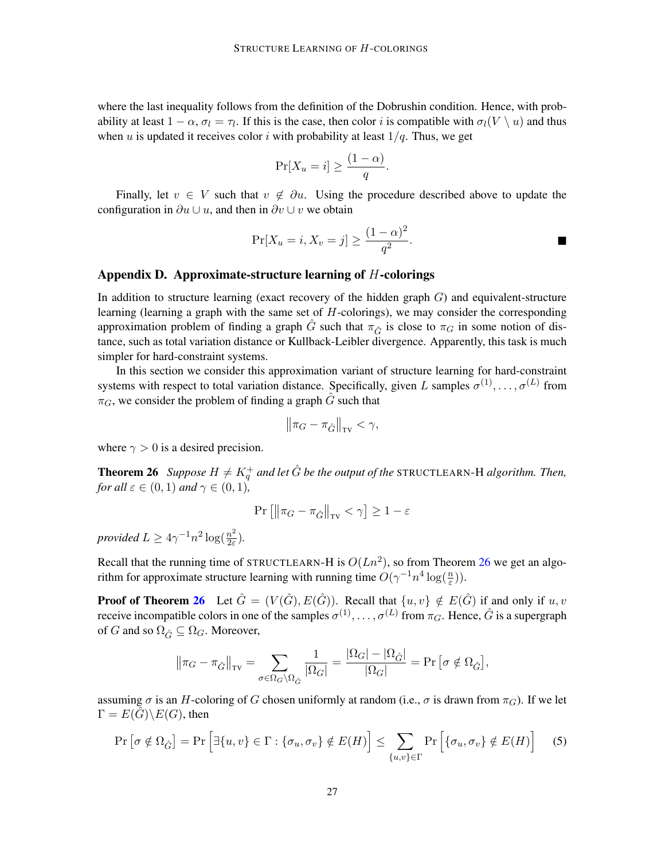where the last inequality follows from the definition of the Dobrushin condition. Hence, with probability at least  $1 - \alpha$ ,  $\sigma_l = \tau_l$ . If this is the case, then color *i* is compatible with  $\sigma_l(V \setminus u)$  and thus when u is updated it receives color i with probability at least  $1/q$ . Thus, we get

$$
\Pr[X_u = i] \ge \frac{(1 - \alpha)}{q}.
$$

Finally, let  $v \in V$  such that  $v \notin \partial u$ . Using the procedure described above to update the configuration in  $\partial u \cup u$ , and then in  $\partial v \cup v$  we obtain

$$
\Pr[X_u = i, X_v = j] \ge \frac{(1 - \alpha)^2}{q^2}.
$$

## <span id="page-26-0"></span>Appendix D. Approximate-structure learning of  $H$ -colorings

In addition to structure learning (exact recovery of the hidden graph  $G$ ) and equivalent-structure learning (learning a graph with the same set of H-colorings), we may consider the corresponding approximation problem of finding a graph  $\tilde{G}$  such that  $\pi_{\tilde{G}}$  is close to  $\pi_G$  in some notion of distance, such as total variation distance or Kullback-Leibler divergence. Apparently, this task is much simpler for hard-constraint systems.

In this section we consider this approximation variant of structure learning for hard-constraint systems with respect to total variation distance. Specifically, given L samples  $\sigma^{(1)}, \ldots, \sigma^{(L)}$  from  $\pi$ <sub>G</sub>, we consider the problem of finding a graph  $\ddot{G}$  such that

$$
\left\|\pi_G - \pi_{\hat{G}}\right\|_{\text{TV}} < \gamma,
$$

<span id="page-26-1"></span>where  $\gamma > 0$  is a desired precision.

**Theorem 26** Suppose  $H \neq K_q^+$  and let  $\hat{G}$  be the output of the STRUCTLEARN-H algorithm. Then, *for all*  $\varepsilon \in (0,1)$  *and*  $\gamma \in (0,1)$ ,

<span id="page-26-2"></span>
$$
\Pr\left[\left\|\pi_G - \pi_{\hat{G}}\right\|_{\text{TV}} < \gamma\right] \ge 1 - \varepsilon
$$

*provided*  $L \geq 4\gamma^{-1} n^2 \log(\frac{n^2}{2\epsilon})$  $\frac{n^2}{2\varepsilon}$ ).

Recall that the running time of STRUCTLEARN-H is  $O(Ln^2)$ , so from Theorem [26](#page-26-1) we get an algorithm for approximate structure learning with running time  $O(\gamma^{-1} n^4 \log(\frac{n}{\varepsilon}))$ .

**Proof of Theorem [26](#page-26-1)** Let  $\hat{G} = (V(\hat{G}), E(\hat{G}))$ . Recall that  $\{u, v\} \notin E(\hat{G})$  if and only if  $u, v$ receive incompatible colors in one of the samples  $\sigma^{(1)}, \ldots, \sigma^{(L)}$  from  $\pi_G$ . Hence,  $\hat{G}$  is a supergraph of G and so  $\Omega_{\hat{G}} \subseteq \Omega_G$ . Moreover,

$$
\left\|\pi_G - \pi_{\hat{G}}\right\|_{\text{TV}} = \sum_{\sigma \in \Omega_G \setminus \Omega_{\hat{G}}} \frac{1}{|\Omega_G|} = \frac{|\Omega_G| - |\Omega_{\hat{G}}|}{|\Omega_G|} = \Pr\left[\sigma \notin \Omega_{\hat{G}}\right],
$$

assuming  $\sigma$  is an H-coloring of G chosen uniformly at random (i.e.,  $\sigma$  is drawn from  $\pi_G$ ). If we let  $\Gamma = E(\hat{G}) \backslash E(G)$ , then

$$
\Pr\left[\sigma \notin \Omega_{\hat{G}}\right] = \Pr\left[\exists \{u, v\} \in \Gamma : \{\sigma_u, \sigma_v\} \notin E(H)\right] \le \sum_{\{u, v\} \in \Gamma} \Pr\left[\{\sigma_u, \sigma_v\} \notin E(H)\right] \tag{5}
$$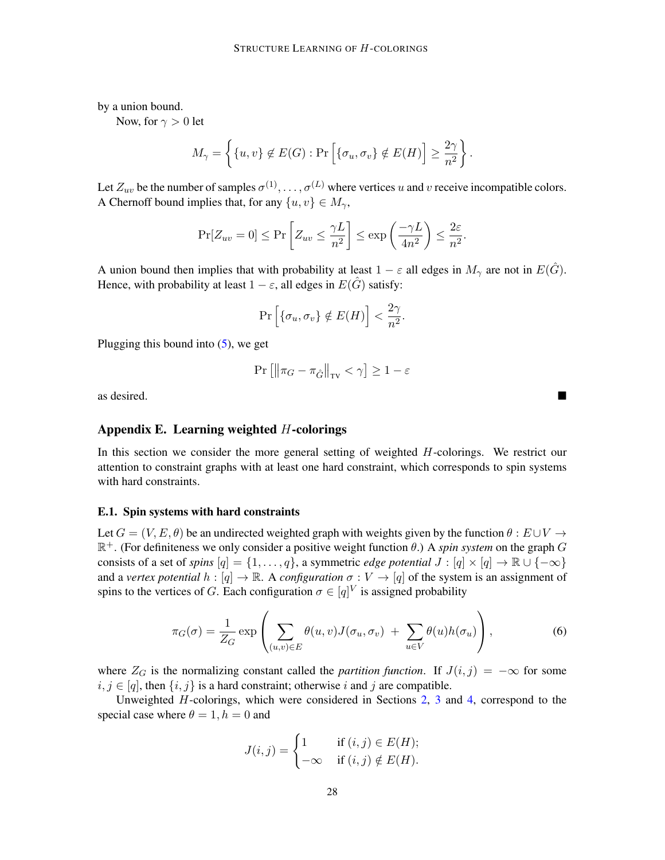by a union bound.

Now, for  $\gamma > 0$  let

$$
M_{\gamma} = \left\{ \{u, v\} \notin E(G) : \Pr\left[ \{\sigma_u, \sigma_v\} \notin E(H) \right] \ge \frac{2\gamma}{n^2} \right\}.
$$

Let  $Z_{uv}$  be the number of samples  $\sigma^{(1)}, \ldots, \sigma^{(L)}$  where vertices u and v receive incompatible colors. A Chernoff bound implies that, for any  $\{u, v\} \in M_{\gamma}$ ,

$$
\Pr[Z_{uv} = 0] \le \Pr\left[Z_{uv} \le \frac{\gamma L}{n^2}\right] \le \exp\left(\frac{-\gamma L}{4n^2}\right) \le \frac{2\varepsilon}{n^2}.
$$

A union bound then implies that with probability at least  $1 - \varepsilon$  all edges in  $M_{\gamma}$  are not in  $E(\tilde{G})$ . Hence, with probability at least  $1 - \varepsilon$ , all edges in  $E(\tilde{G})$  satisfy:

$$
\Pr\left[\{\sigma_u, \sigma_v\} \notin E(H)\right] < \frac{2\gamma}{n^2}.
$$

Plugging this bound into  $(5)$ , we get

$$
\Pr\left[\left\|\pi_G - \pi_{\hat{G}}\right\|_{\text{TV}} < \gamma\right] \ge 1 - \varepsilon
$$

as desired.

### <span id="page-27-0"></span>Appendix E. Learning weighted  $H$ -colorings

In this section we consider the more general setting of weighted  $H$ -colorings. We restrict our attention to constraint graphs with at least one hard constraint, which corresponds to spin systems with hard constraints.

#### E.1. Spin systems with hard constraints

Let  $G = (V, E, \theta)$  be an undirected weighted graph with weights given by the function  $\theta : E \cup V \rightarrow$  $\mathbb{R}^+$ . (For definiteness we only consider a positive weight function  $\theta$ .) A *spin system* on the graph G consists of a set of *spins*  $[q] = \{1, \ldots, q\}$ , a symmetric *edge potential*  $J : [q] \times [q] \to \mathbb{R} \cup \{-\infty\}$ and a *vertex potential*  $h : [q] \to \mathbb{R}$ . A *configuration*  $\sigma : V \to [q]$  of the system is an assignment of spins to the vertices of G. Each configuration  $\sigma \in [q]^V$  is assigned probability

<span id="page-27-1"></span>
$$
\pi_G(\sigma) = \frac{1}{Z_G} \exp\left(\sum_{(u,v)\in E} \theta(u,v) J(\sigma_u, \sigma_v) + \sum_{u\in V} \theta(u) h(\sigma_u)\right),\tag{6}
$$

where  $Z_G$  is the normalizing constant called the *partition function*. If  $J(i, j) = -\infty$  for some  $i, j \in [q]$ , then  $\{i, j\}$  is a hard constraint; otherwise i and j are compatible.

Unweighted H-colorings, which were considered in Sections [2,](#page-5-2) [3](#page-9-0) and [4,](#page-11-1) correspond to the special case where  $\theta = 1, h = 0$  and

$$
J(i,j) = \begin{cases} 1 & \text{if } (i,j) \in E(H); \\ -\infty & \text{if } (i,j) \notin E(H). \end{cases}
$$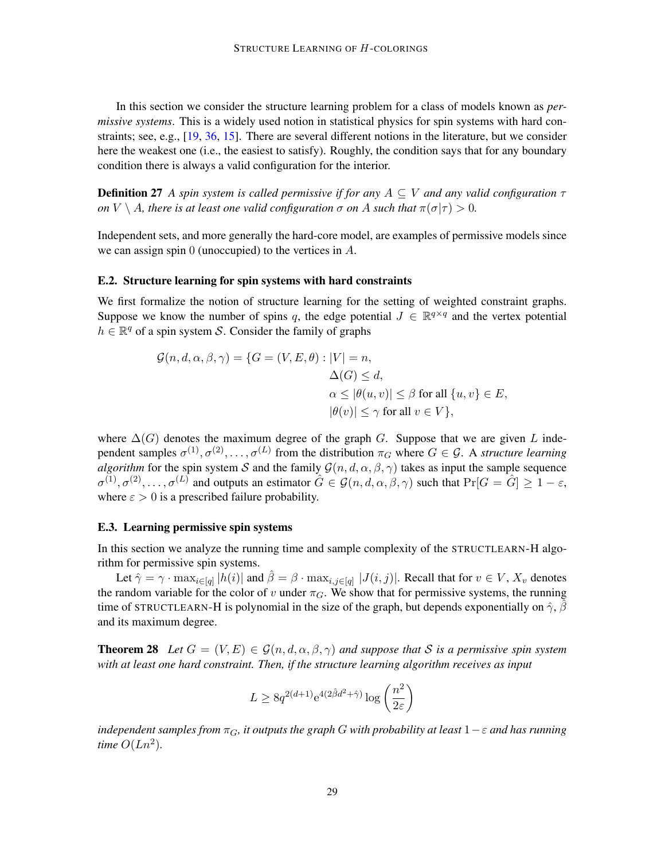In this section we consider the structure learning problem for a class of models known as *permissive systems*. This is a widely used notion in statistical physics for spin systems with hard constraints; see, e.g., [\[19,](#page-13-12) [36,](#page-14-11) [15\]](#page-13-13). There are several different notions in the literature, but we consider here the weakest one (i.e., the easiest to satisfy). Roughly, the condition says that for any boundary condition there is always a valid configuration for the interior.

Definition 27 *A spin system is called permissive if for any* A ⊆ V *and any valid configuration* τ *on*  $V \setminus A$ *, there is at least one valid configuration*  $\sigma$  *on*  $A$  *such that*  $\pi(\sigma|\tau) > 0$ *.* 

Independent sets, and more generally the hard-core model, are examples of permissive models since we can assign spin 0 (unoccupied) to the vertices in A.

#### E.2. Structure learning for spin systems with hard constraints

We first formalize the notion of structure learning for the setting of weighted constraint graphs. Suppose we know the number of spins q, the edge potential  $J \in \mathbb{R}^{q \times q}$  and the vertex potential  $h \in \mathbb{R}^q$  of a spin system S. Consider the family of graphs

$$
\mathcal{G}(n, d, \alpha, \beta, \gamma) = \{ G = (V, E, \theta) : |V| = n, \Delta(G) \le d, \alpha \le |\theta(u, v)| \le \beta \text{ for all } \{u, v\} \in E, |\theta(v)| \le \gamma \text{ for all } v \in V \},
$$

where  $\Delta(G)$  denotes the maximum degree of the graph G. Suppose that we are given L independent samples  $\sigma^{(1)}, \sigma^{(2)}, \ldots, \sigma^{(L)}$  from the distribution  $\pi_G$  where  $G \in \mathcal{G}$ . A *structure learning algorithm* for the spin system S and the family  $\mathcal{G}(n, d, \alpha, \beta, \gamma)$  takes as input the sample sequence  $\sigma^{(1)}, \sigma^{(2)}, \ldots, \sigma^{(L)}$  and outputs an estimator  $\hat{G} \in \mathcal{G}(n, d, \alpha, \beta, \gamma)$  such that  $\Pr[G = \hat{G}] \ge 1 - \varepsilon$ , where  $\varepsilon > 0$  is a prescribed failure probability.

#### <span id="page-28-0"></span>E.3. Learning permissive spin systems

In this section we analyze the running time and sample complexity of the STRUCTLEARN-H algorithm for permissive spin systems.

Let  $\hat{\gamma} = \gamma \cdot \max_{i \in [q]} |h(i)|$  and  $\hat{\beta} = \beta \cdot \max_{i,j \in [q]} |J(i,j)|$ . Recall that for  $v \in V$ ,  $X_v$  denotes the random variable for the color of v under  $\pi_G$ . We show that for permissive systems, the running time of STRUCTLEARN-H is polynomial in the size of the graph, but depends exponentially on  $\hat{\gamma}$ ,  $\hat{\beta}$ and its maximum degree.

<span id="page-28-1"></span>**Theorem 28** Let  $G = (V, E) \in \mathcal{G}(n, d, \alpha, \beta, \gamma)$  and suppose that S is a permissive spin system *with at least one hard constraint. Then, if the structure learning algorithm receives as input*

$$
L \geq 8q^{2(d+1)}e^{4(2\hat{\beta}d^2 + \hat{\gamma})} \log\left(\frac{n^2}{2\varepsilon}\right)
$$

*independent samples from*  $\pi_G$ , *it outputs the graph* G *with probability at least*  $1-\epsilon$  *and has running time*  $O(Ln^2)$ .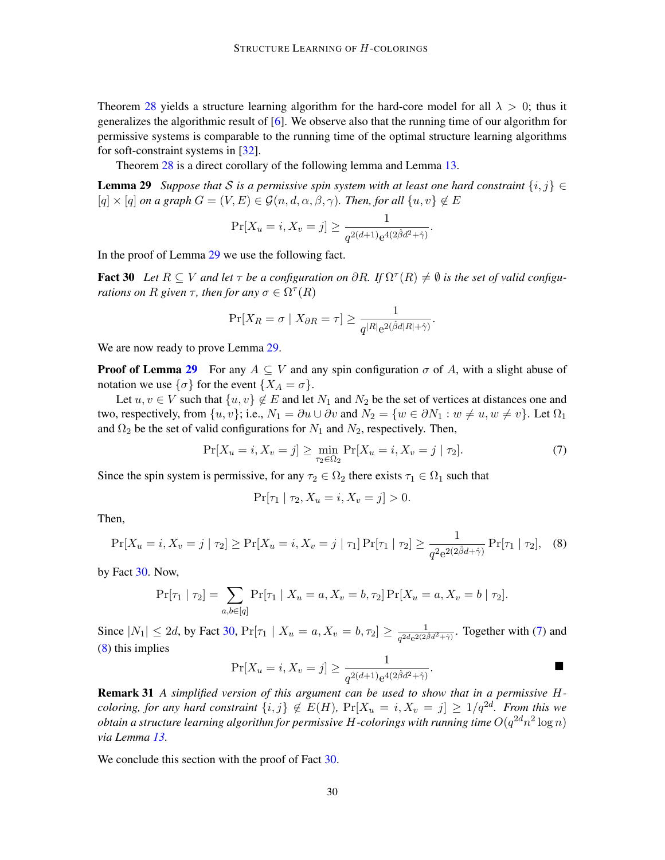Theorem [28](#page-28-1) yields a structure learning algorithm for the hard-core model for all  $\lambda > 0$ ; thus it generalizes the algorithmic result of [\[6\]](#page-12-9). We observe also that the running time of our algorithm for permissive systems is comparable to the running time of the optimal structure learning algorithms for soft-constraint systems in [\[32\]](#page-14-7).

Theorem [28](#page-28-1) is a direct corollary of the following lemma and Lemma [13.](#page-9-2)

**Lemma 29** *Suppose that* S *is a permissive spin system with at least one hard constraint*  $\{i, j\} \in$  $[q] \times [q]$  *on a graph*  $G = (V, E) \in \mathcal{G}(n, d, \alpha, \beta, \gamma)$ *. Then, for all*  $\{u, v\} \notin E$ 

<span id="page-29-0"></span>
$$
\Pr[X_u = i, X_v = j] \ge \frac{1}{q^{2(d+1)}e^{4(2\hat{\beta}d^2 + \hat{\gamma})}}.
$$

In the proof of Lemma [29](#page-29-0) we use the following fact.

<span id="page-29-1"></span>**Fact 30** Let  $R \subseteq V$  and let  $\tau$  be a configuration on  $\partial R$ . If  $\Omega^{\tau}(R) \neq \emptyset$  is the set of valid configu*rations on*  $R$  *given*  $\tau$ *, then for any*  $\sigma \in \Omega^{\tau}(R)$ 

$$
\Pr[X_R = \sigma \mid X_{\partial R} = \tau] \ge \frac{1}{q^{|R|} e^{2(\hat{\beta}d|R| + \hat{\gamma})}}.
$$

We are now ready to prove Lemma [29.](#page-29-0)

**Proof of Lemma [29](#page-29-0)** For any  $A \subseteq V$  and any spin configuration  $\sigma$  of A, with a slight abuse of notation we use  $\{\sigma\}$  for the event  $\{X_A = \sigma\}.$ 

Let  $u, v \in V$  such that  $\{u, v\} \notin E$  and let  $N_1$  and  $N_2$  be the set of vertices at distances one and two, respectively, from  $\{u, v\}$ ; i.e.,  $N_1 = \partial u \cup \partial v$  and  $N_2 = \{w \in \partial N_1 : w \neq u, w \neq v\}$ . Let  $\Omega_1$ and  $\Omega_2$  be the set of valid configurations for  $N_1$  and  $N_2$ , respectively. Then,

<span id="page-29-2"></span>
$$
\Pr[X_u = i, X_v = j] \ge \min_{\tau_2 \in \Omega_2} \Pr[X_u = i, X_v = j | \tau_2].
$$
\n(7)

Since the spin system is permissive, for any  $\tau_2 \in \Omega_2$  there exists  $\tau_1 \in \Omega_1$  such that

$$
\Pr[\tau_1 | \tau_2, X_u = i, X_v = j] > 0.
$$

Then,

<span id="page-29-3"></span>
$$
\Pr[X_u = i, X_v = j \mid \tau_2] \ge \Pr[X_u = i, X_v = j \mid \tau_1] \Pr[\tau_1 \mid \tau_2] \ge \frac{1}{q^2 e^{2(2\hat{\beta}d + \hat{\gamma})}} \Pr[\tau_1 \mid \tau_2], \quad (8)
$$

by Fact [30.](#page-29-1) Now,

$$
\Pr[\tau_1 | \tau_2] = \sum_{a,b \in [q]} \Pr[\tau_1 | X_u = a, X_v = b, \tau_2] \Pr[X_u = a, X_v = b | \tau_2].
$$

Since  $|N_1| \le 2d$ , by Fact [30,](#page-29-1)  $Pr[\tau_1 | X_u = a, X_v = b, \tau_2] \ge \frac{1}{\sqrt{2d}\sqrt{2d}}$  $\frac{1}{q^{2d}e^{2(2\hat{\beta}d^2+\hat{\gamma})}}$ . Together with [\(7\)](#page-29-2) and [\(8\)](#page-29-3) this implies

$$
\Pr[X_u = i, X_v = j] \ge \frac{1}{q^{2(d+1)}e^{4(2\hat{\beta}d^2 + \hat{\gamma})}}.
$$

Remark 31 *A simplified version of this argument can be used to show that in a permissive* H*coloring, for any hard constraint*  $\{i, j\} \notin E(H)$ ,  $\Pr[X_u = i, X_v = j] \geq 1/q^{2d}$ *. From this we*  $obtain$  a structure learning algorithm for permissive  $H$ -colorings with running time  $O(q^{2d}n^2\log n)$ *via Lemma [13.](#page-9-2)*

We conclude this section with the proof of Fact [30.](#page-29-1)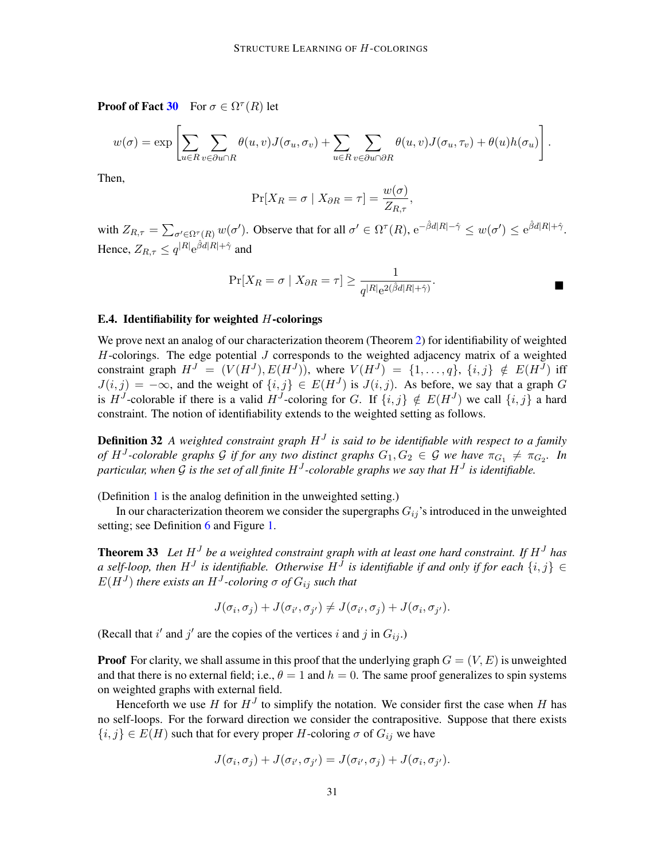**Proof of Fact [30](#page-29-1)** For  $\sigma \in \Omega^{\tau}(R)$  let

$$
w(\sigma) = \exp \left[ \sum_{u \in R} \sum_{v \in \partial u \cap R} \theta(u, v) J(\sigma_u, \sigma_v) + \sum_{u \in R} \sum_{v \in \partial u \cap \partial R} \theta(u, v) J(\sigma_u, \tau_v) + \theta(u) h(\sigma_u) \right].
$$

Then,

$$
\Pr[X_R = \sigma \mid X_{\partial R} = \tau] = \frac{w(\sigma)}{Z_{R,\tau}},
$$

with  $Z_{R,\tau} = \sum_{\sigma' \in \Omega^{\tau}(R)} w(\sigma')$ . Observe that for all  $\sigma' \in \Omega^{\tau}(R)$ ,  $e^{-\hat{\beta}d|R| - \hat{\gamma}} \leq w(\sigma') \leq e^{\hat{\beta}d|R| + \hat{\gamma}}$ . Hence,  $Z_{R,\tau} \leq q^{|R|} e^{\hat{\beta}d|R| + \hat{\gamma}}$  and

$$
\Pr[X_R = \sigma \mid X_{\partial R} = \tau] \ge \frac{1}{q^{|R|} e^{2(\hat{\beta}d|R| + \hat{\gamma})}}.
$$

## E.4. Identifiability for weighted  $H$ -colorings

We prove next an analog of our characterization theorem (Theorem [2\)](#page-3-0) for identifiability of weighted  $H$ -colorings. The edge potential  $J$  corresponds to the weighted adjacency matrix of a weighted constraint graph  $H^J = (V(H^J), E(H^J))$ , where  $V(H^J) = \{1, \ldots, q\}$ ,  $\{i, j\} \notin E(H^J)$  iff  $J(i, j) = -\infty$ , and the weight of  $\{i, j\} \in E(H^{J})$  is  $J(i, j)$ . As before, we say that a graph G is H<sup>J</sup>-colorable if there is a valid H<sup>J</sup>-coloring for G. If  $\{i, j\} \notin E(H^J)$  we call  $\{i, j\}$  a hard constraint. The notion of identifiability extends to the weighted setting as follows.

**Definition 32** A weighted constraint graph  $H<sup>J</sup>$  is said to be identifiable with respect to a family *of*  $H^J$ -colorable graphs G if for any two distinct graphs  $G_1, G_2 \in \mathcal{G}$  we have  $\pi_{G_1} \neq \pi_{G_2}$ . In particular, when G is the set of all finite  $H^J$ -colorable graphs we say that  $H^J$  is identifiable.

(Definition [1](#page-2-0) is the analog definition in the unweighted setting.)

In our characterization theorem we consider the supergraphs  $G_{ij}$ 's introduced in the unweighted setting; see Definition [6](#page-5-1) and Figure [1.](#page-5-0)

**Theorem 33** Let  $H<sup>J</sup>$  be a weighted constraint graph with at least one hard constraint. If  $H<sup>J</sup>$  has a self-loop, then  $H^J$  is identifiable. Otherwise  $H^J$  is identifiable if and only if for each  $\{i,j\} \in$  $E(H^{J})$  there exists an  $H^{J}$ -coloring  $\sigma$  of  $G_{ij}$  such that

$$
J(\sigma_i, \sigma_j) + J(\sigma_{i'}, \sigma_{j'}) \neq J(\sigma_{i'}, \sigma_j) + J(\sigma_i, \sigma_{j'}).
$$

(Recall that i' and j' are the copies of the vertices i and j in  $G_{ij}$ .)

**Proof** For clarity, we shall assume in this proof that the underlying graph  $G = (V, E)$  is unweighted and that there is no external field; i.e.,  $\theta = 1$  and  $h = 0$ . The same proof generalizes to spin systems on weighted graphs with external field.

Henceforth we use H for  $H<sup>J</sup>$  to simplify the notation. We consider first the case when H has no self-loops. For the forward direction we consider the contrapositive. Suppose that there exists  ${i, j} \in E(H)$  such that for every proper H-coloring  $\sigma$  of  $G_{ij}$  we have

$$
J(\sigma_i, \sigma_j) + J(\sigma_{i'}, \sigma_{j'}) = J(\sigma_{i'}, \sigma_j) + J(\sigma_i, \sigma_{j'}).
$$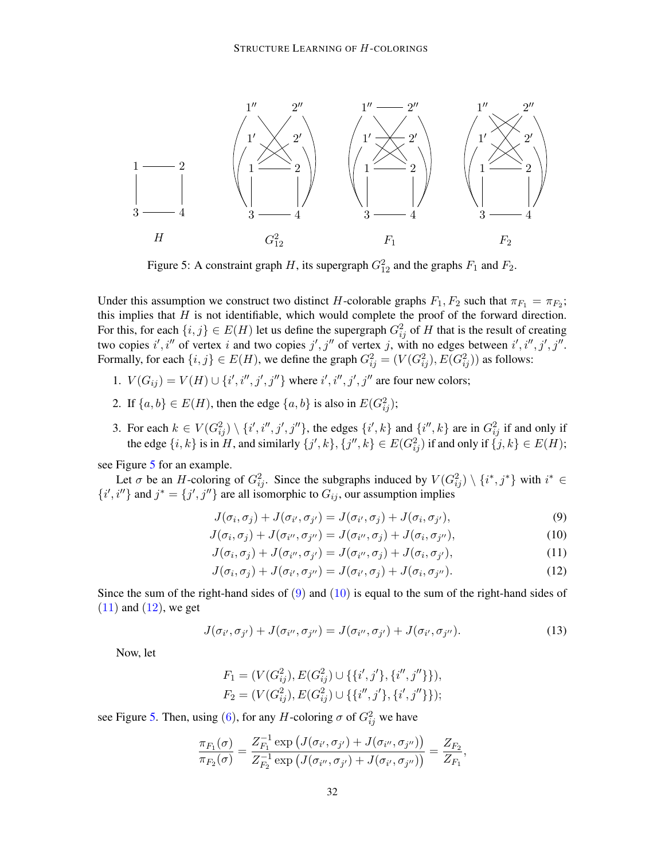<span id="page-31-0"></span>

Figure 5: A constraint graph H, its supergraph  $G_{12}^2$  and the graphs  $F_1$  and  $F_2$ .

Under this assumption we construct two distinct H-colorable graphs  $F_1, F_2$  such that  $\pi_{F_1} = \pi_{F_2}$ ; this implies that  $H$  is not identifiable, which would complete the proof of the forward direction. For this, for each  $\{i, j\} \in E(H)$  let us define the supergraph  $G_{ij}^2$  of H that is the result of creating two copies i', i'' of vertex i and two copies  $j', j''$  of vertex j, with no edges between i', i'', j', j''. Formally, for each  $\{i, j\} \in E(H)$ , we define the graph  $G_{ij}^2 = (V(G_{ij}^2), E(G_{ij}^2))$  as follows:

- 1.  $V(G_{ij}) = V(H) \cup \{i', i'', j', j''\}$  where  $i', i'', j', j''$  are four new colors;
- 2. If  $\{a, b\} \in E(H)$ , then the edge  $\{a, b\}$  is also in  $E(G_{ij}^2)$ ;
- 3. For each  $k \in V(G_{ij}^2) \setminus \{i', i'', j', j''\}$ , the edges  $\{i', k\}$  and  $\{i'', k\}$  are in  $G_{ij}^2$  if and only if the edge  $\{i, k\}$  is in H, and similarly  $\{j', k\}, \{j'', k\} \in E(G_{ij}^2)$  if and only if  $\{j, k\} \in E(H)$ ;

see Figure [5](#page-31-0) for an example.

Let  $\sigma$  be an H-coloring of  $G_{ij}^2$ . Since the subgraphs induced by  $V(G_{ij}^2) \setminus \{i^*, j^*\}$  with  $i^* \in$  $\{i', i''\}$  and  $j^* = \{j', j''\}$  are all isomorphic to  $G_{ij}$ , our assumption implies

<span id="page-31-3"></span><span id="page-31-2"></span><span id="page-31-1"></span>
$$
J(\sigma_i, \sigma_j) + J(\sigma_{i'}, \sigma_{j'}) = J(\sigma_{i'}, \sigma_j) + J(\sigma_i, \sigma_{j'}),
$$
\n(9)

$$
J(\sigma_i, \sigma_j) + J(\sigma_{i''}, \sigma_{j''}) = J(\sigma_{i''}, \sigma_j) + J(\sigma_i, \sigma_{j''}),
$$
\n(10)

$$
J(\sigma_i, \sigma_j) + J(\sigma_{i''}, \sigma_{j'}) = J(\sigma_{i''}, \sigma_j) + J(\sigma_i, \sigma_{j'}),
$$
\n(11)

<span id="page-31-4"></span>
$$
J(\sigma_i, \sigma_j) + J(\sigma_{i'}, \sigma_{j''}) = J(\sigma_{i'}, \sigma_j) + J(\sigma_i, \sigma_{j''}).
$$
\n(12)

Since the sum of the right-hand sides of  $(9)$  and  $(10)$  is equal to the sum of the right-hand sides of  $(11)$  and  $(12)$ , we get

<span id="page-31-5"></span>
$$
J(\sigma_{i'}, \sigma_{j'}) + J(\sigma_{i''}, \sigma_{j''}) = J(\sigma_{i''}, \sigma_{j'}) + J(\sigma_{i'}, \sigma_{j''}).
$$
\n(13)

Now, let

$$
F_1 = (V(G_{ij}^2), E(G_{ij}^2) \cup \{\{i', j'\}, \{i'', j''\}\}),
$$
  

$$
F_2 = (V(G_{ij}^2), E(G_{ij}^2) \cup \{\{i'', j'\}, \{i', j''\}\});
$$

see Figure [5.](#page-31-0) Then, using [\(6\)](#page-27-1), for any H-coloring  $\sigma$  of  $G_{ij}^2$  we have

$$
\frac{\pi_{F_1}(\sigma)}{\pi_{F_2}(\sigma)} = \frac{Z_{F_1}^{-1} \exp (J(\sigma_{i'}, \sigma_{j'}) + J(\sigma_{i''}, \sigma_{j''}))}{Z_{F_2}^{-1} \exp (J(\sigma_{i''}, \sigma_{j'}) + J(\sigma_{i'}, \sigma_{j''}))} = \frac{Z_{F_2}}{Z_{F_1}},
$$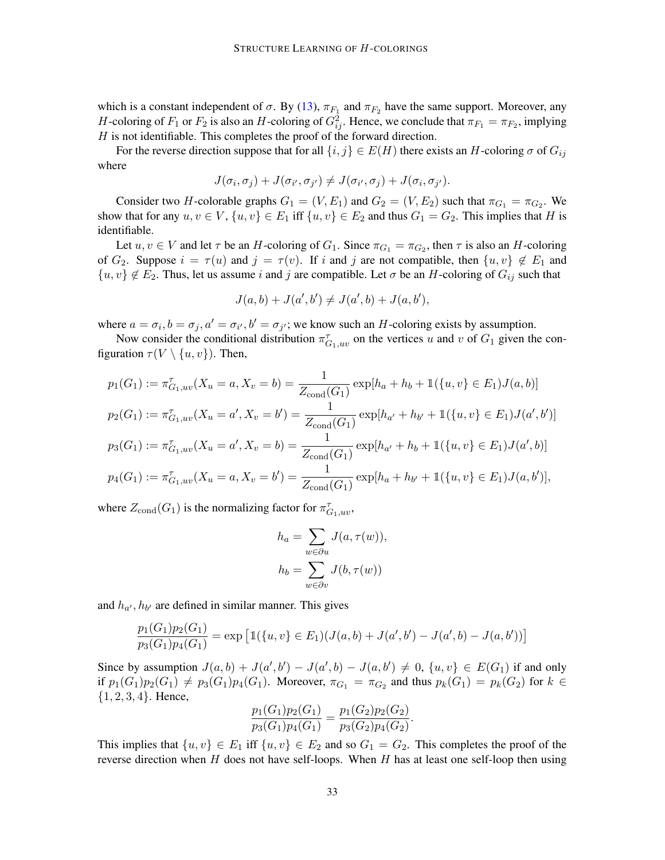which is a constant independent of  $\sigma$ . By [\(13\)](#page-31-5),  $\pi_{F_1}$  and  $\pi_{F_2}$  have the same support. Moreover, any H-coloring of  $F_1$  or  $F_2$  is also an H-coloring of  $G_{ij}^2$ . Hence, we conclude that  $\pi_{F_1} = \pi_{F_2}$ , implying  $H$  is not identifiable. This completes the proof of the forward direction.

For the reverse direction suppose that for all  $\{i, j\} \in E(H)$  there exists an H-coloring  $\sigma$  of  $G_{ij}$ where

$$
J(\sigma_i, \sigma_j) + J(\sigma_{i'}, \sigma_{j'}) \neq J(\sigma_{i'}, \sigma_j) + J(\sigma_i, \sigma_{j'}).
$$

Consider two H-colorable graphs  $G_1 = (V, E_1)$  and  $G_2 = (V, E_2)$  such that  $\pi_{G_1} = \pi_{G_2}$ . We show that for any  $u, v \in V$ ,  $\{u, v\} \in E_1$  iff  $\{u, v\} \in E_2$  and thus  $G_1 = G_2$ . This implies that H is identifiable.

Let  $u, v \in V$  and let  $\tau$  be an H-coloring of  $G_1$ . Since  $\pi_{G_1} = \pi_{G_2}$ , then  $\tau$  is also an H-coloring of  $G_2$ . Suppose  $i = \tau(u)$  and  $j = \tau(v)$ . If i and j are not compatible, then  $\{u, v\} \notin E_1$  and  $\{u, v\} \notin E_2$ . Thus, let us assume i and j are compatible. Let  $\sigma$  be an H-coloring of  $G_{ij}$  such that

$$
J(a,b) + J(a',b') \neq J(a',b) + J(a,b'),
$$

where  $a = \sigma_i$ ,  $b = \sigma_j$ ,  $a' = \sigma_{i'}$ ,  $b' = \sigma_{j'}$ ; we know such an H-coloring exists by assumption.

Now consider the conditional distribution  $\pi_{G_1,uv}^{\tau}$  on the vertices u and v of  $G_1$  given the configuration  $\tau(V \setminus \{u, v\})$ . Then,

$$
p_1(G_1) := \pi_{G_1,uv}^{\tau}(X_u = a, X_v = b) = \frac{1}{Z_{\text{cond}}(G_1)} \exp[h_a + h_b + \mathbb{1}(\{u, v\} \in E_1)J(a, b)]
$$
  
\n
$$
p_2(G_1) := \pi_{G_1,uv}^{\tau}(X_u = a', X_v = b') = \frac{1}{Z_{\text{cond}}(G_1)} \exp[h_{a'} + h_{b'} + \mathbb{1}(\{u, v\} \in E_1)J(a', b')]
$$
  
\n
$$
p_3(G_1) := \pi_{G_1,uv}^{\tau}(X_u = a', X_v = b) = \frac{1}{Z_{\text{cond}}(G_1)} \exp[h_{a'} + h_b + \mathbb{1}(\{u, v\} \in E_1)J(a', b)]
$$
  
\n
$$
p_4(G_1) := \pi_{G_1,uv}^{\tau}(X_u = a, X_v = b') = \frac{1}{Z_{\text{cond}}(G_1)} \exp[h_a + h_{b'} + \mathbb{1}(\{u, v\} \in E_1)J(a, b')],
$$

where  $Z_{\text{cond}}(G_1)$  is the normalizing factor for  $\pi_{G_1,uv}^{\tau}$ ,

$$
h_a = \sum_{w \in \partial u} J(a, \tau(w)),
$$
  

$$
h_b = \sum_{w \in \partial v} J(b, \tau(w))
$$

and  $h_{\alpha'}$ ,  $h_{b'}$  are defined in similar manner. This gives

$$
\frac{p_1(G_1)p_2(G_1)}{p_3(G_1)p_4(G_1)} = \exp \left[ \mathbb{1}(\{u, v\} \in E_1)(J(a, b) + J(a', b') - J(a', b) - J(a, b')) \right]
$$

Since by assumption  $J(a, b) + J(a', b') - J(a', b) - J(a, b') \neq 0$ ,  $\{u, v\} \in E(G_1)$  if and only if  $p_1(G_1)p_2(G_1) \neq p_3(G_1)p_4(G_1)$ . Moreover,  $\pi_{G_1} = \pi_{G_2}$  and thus  $p_k(G_1) = p_k(G_2)$  for  $k \in$  $\{1, 2, 3, 4\}$ . Hence,

$$
\frac{p_1(G_1)p_2(G_1)}{p_3(G_1)p_4(G_1)} = \frac{p_1(G_2)p_2(G_2)}{p_3(G_2)p_4(G_2)}.
$$

This implies that  $\{u, v\} \in E_1$  iff  $\{u, v\} \in E_2$  and so  $G_1 = G_2$ . This completes the proof of the reverse direction when  $H$  does not have self-loops. When  $H$  has at least one self-loop then using